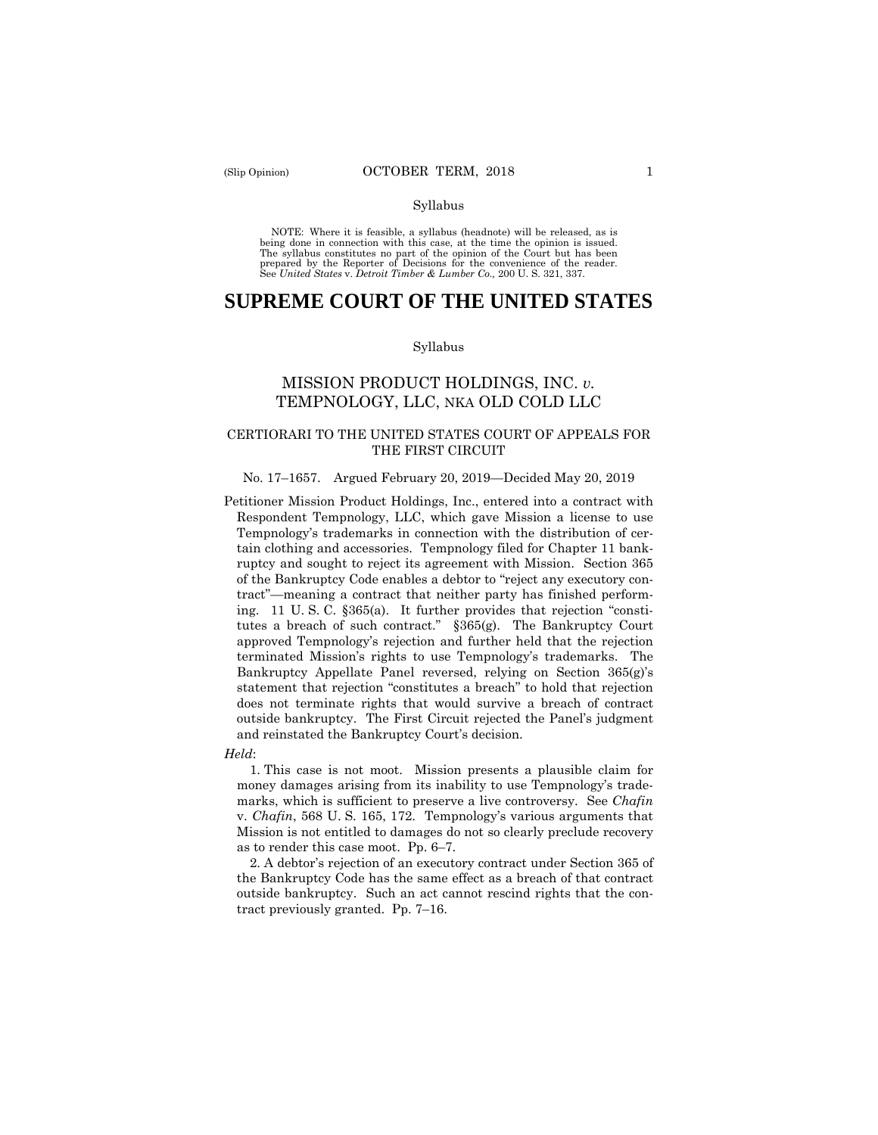#### Syllabus

 NOTE: Where it is feasible, a syllabus (headnote) will be released, as is being done in connection with this case, at the time the opinion is issued. The syllabus constitutes no part of the opinion of the Court but has been<br>prepared by the Reporter of Decisions for the convenience of the reader.<br>See United States v. Detroit Timber & Lumber Co., 200 U.S. 321, 337.

# **SUPREME COURT OF THE UNITED STATES**

#### Syllabus

## MISSION PRODUCT HOLDINGS, INC. *v.*  TEMPNOLOGY, LLC, NKA OLD COLD LLC

## CERTIORARI TO THE UNITED STATES COURT OF APPEALS FOR THE FIRST CIRCUIT

#### No. 17–1657. Argued February 20, 2019—Decided May 20, 2019

Petitioner Mission Product Holdings, Inc., entered into a contract with Respondent Tempnology, LLC, which gave Mission a license to use Tempnology's trademarks in connection with the distribution of certain clothing and accessories. Tempnology filed for Chapter 11 bankruptcy and sought to reject its agreement with Mission. Section 365 of the Bankruptcy Code enables a debtor to "reject any executory contract"—meaning a contract that neither party has finished performing. 11 U. S. C. §365(a). It further provides that rejection "constitutes a breach of such contract." §365(g). The Bankruptcy Court approved Tempnology's rejection and further held that the rejection terminated Mission's rights to use Tempnology's trademarks. The Bankruptcy Appellate Panel reversed, relying on Section 365(g)'s statement that rejection "constitutes a breach" to hold that rejection does not terminate rights that would survive a breach of contract outside bankruptcy. The First Circuit rejected the Panel's judgment and reinstated the Bankruptcy Court's decision.

#### *Held*:

1. This case is not moot. Mission presents a plausible claim for money damages arising from its inability to use Tempnology's trademarks, which is sufficient to preserve a live controversy. See *Chafin*  v. *Chafin*, 568 U. S. 165, 172. Tempnology's various arguments that Mission is not entitled to damages do not so clearly preclude recovery as to render this case moot. Pp. 6–7.

2. A debtor's rejection of an executory contract under Section 365 of the Bankruptcy Code has the same effect as a breach of that contract outside bankruptcy. Such an act cannot rescind rights that the contract previously granted. Pp. 7–16.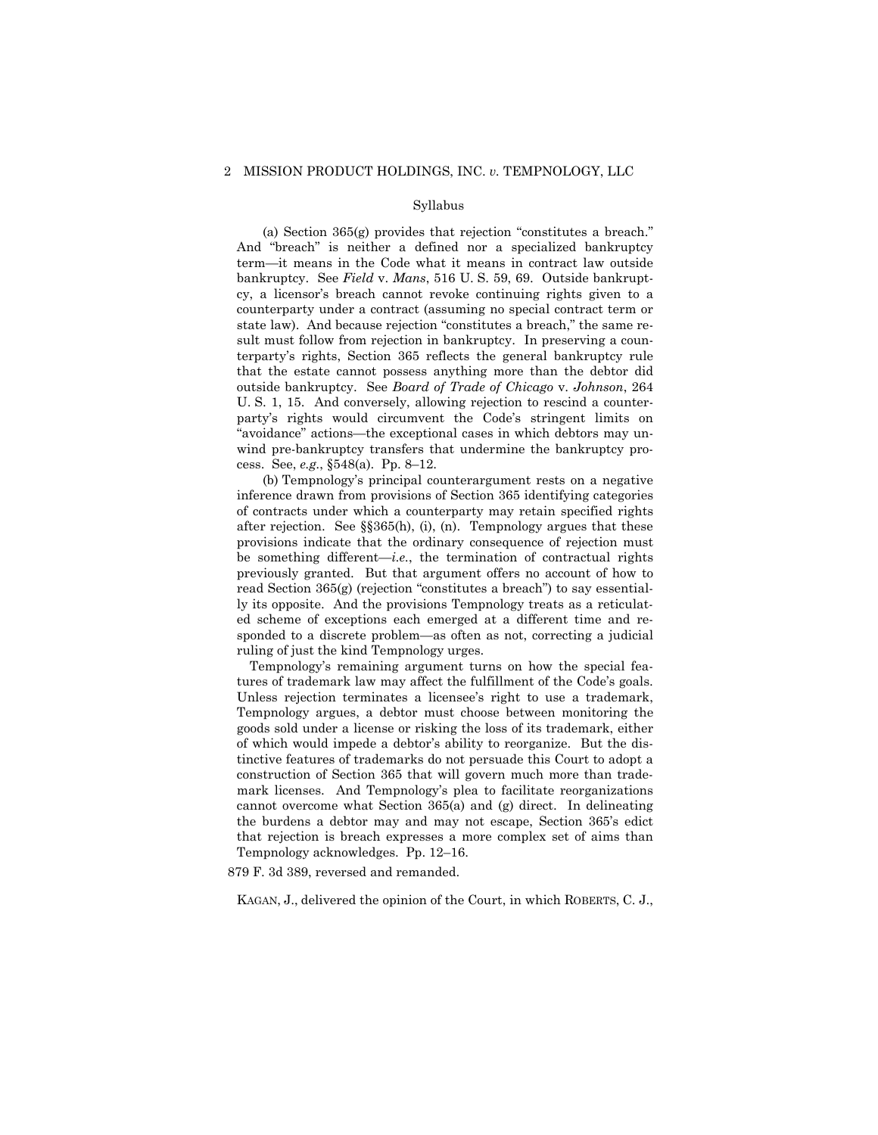#### Syllabus

(a) Section 365(g) provides that rejection "constitutes a breach." And "breach" is neither a defined nor a specialized bankruptcy term—it means in the Code what it means in contract law outside bankruptcy. See *Field* v. *Mans*, 516 U. S. 59, 69. Outside bankruptcy, a licensor's breach cannot revoke continuing rights given to a counterparty under a contract (assuming no special contract term or state law). And because rejection "constitutes a breach," the same result must follow from rejection in bankruptcy. In preserving a counterparty's rights, Section 365 reflects the general bankruptcy rule that the estate cannot possess anything more than the debtor did outside bankruptcy. See *Board of Trade of Chicago* v. *Johnson*, 264 U. S. 1, 15. And conversely, allowing rejection to rescind a counterparty's rights would circumvent the Code's stringent limits on "avoidance" actions—the exceptional cases in which debtors may unwind pre-bankruptcy transfers that undermine the bankruptcy process. See, *e.g.*, §548(a). Pp. 8–12.

(b) Tempnology's principal counterargument rests on a negative inference drawn from provisions of Section 365 identifying categories of contracts under which a counterparty may retain specified rights after rejection. See §§365(h), (i), (n). Tempnology argues that these provisions indicate that the ordinary consequence of rejection must be something different—*i.e.*, the termination of contractual rights previously granted. But that argument offers no account of how to read Section 365(g) (rejection "constitutes a breach") to say essentially its opposite. And the provisions Tempnology treats as a reticulated scheme of exceptions each emerged at a different time and responded to a discrete problem—as often as not, correcting a judicial ruling of just the kind Tempnology urges.

 tures of trademark law may affect the fulfillment of the Code's goals. Tempnology's remaining argument turns on how the special fea-Unless rejection terminates a licensee's right to use a trademark, Tempnology argues, a debtor must choose between monitoring the goods sold under a license or risking the loss of its trademark, either of which would impede a debtor's ability to reorganize. But the distinctive features of trademarks do not persuade this Court to adopt a construction of Section 365 that will govern much more than trademark licenses. And Tempnology's plea to facilitate reorganizations cannot overcome what Section 365(a) and (g) direct. In delineating the burdens a debtor may and may not escape, Section 365's edict that rejection is breach expresses a more complex set of aims than Tempnology acknowledges. Pp. 12–16.

879 F. 3d 389, reversed and remanded.

KAGAN, J., delivered the opinion of the Court, in which ROBERTS, C. J.,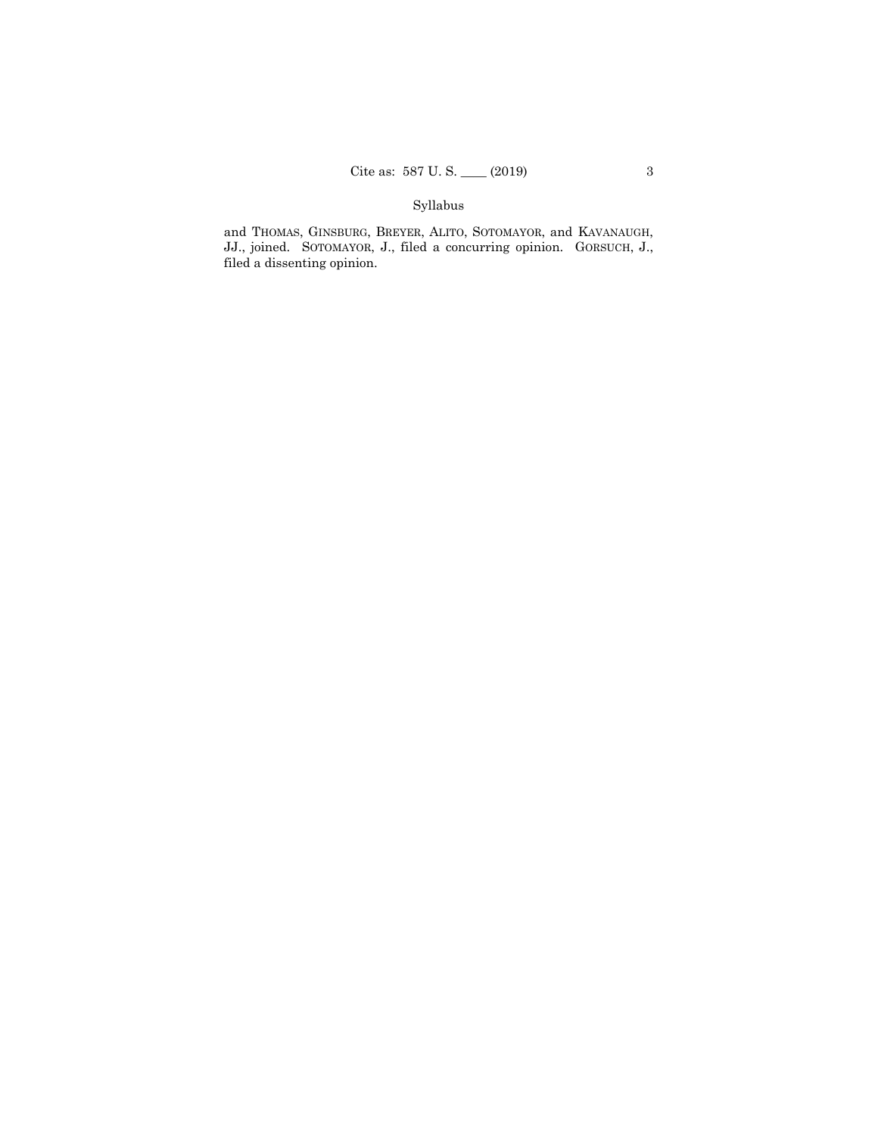## Syllabus

 and THOMAS, GINSBURG, BREYER, ALITO, SOTOMAYOR, and KAVANAUGH, JJ., joined. SOTOMAYOR, J., filed a concurring opinion. GORSUCH, J., filed a dissenting opinion.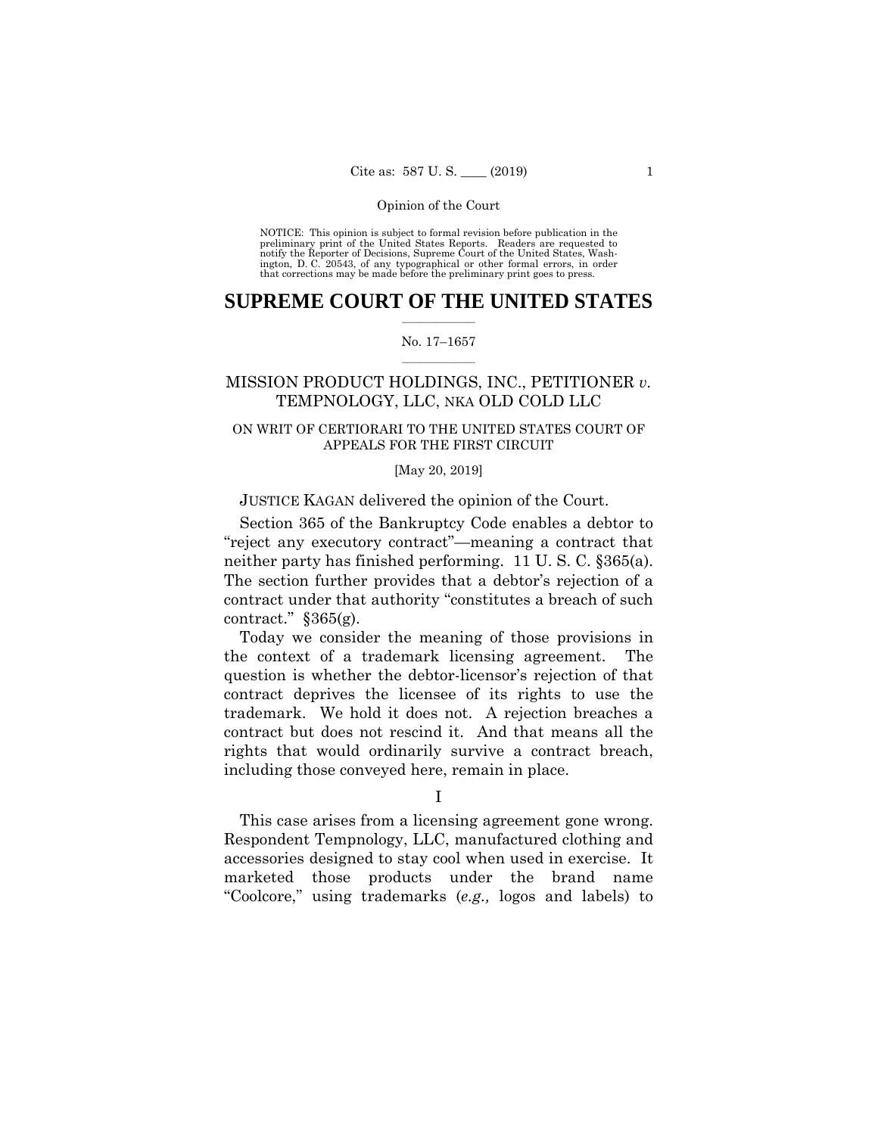preliminary print of the United States Reports. Readers are requested to notify the Reporter of Decisions, Supreme Court of the United States, Wash- ington, D. C. 20543, of any typographical or other formal errors, in order that corrections may be made before the preliminary print goes to press. NOTICE: This opinion is subject to formal revision before publication in the

### $\frac{1}{2}$  , where  $\frac{1}{2}$ **SUPREME COURT OF THE UNITED STATES**

#### $\frac{1}{2}$  ,  $\frac{1}{2}$  ,  $\frac{1}{2}$  ,  $\frac{1}{2}$  ,  $\frac{1}{2}$  ,  $\frac{1}{2}$ No. 17–1657

## MISSION PRODUCT HOLDINGS, INC., PETITIONER *v.*  TEMPNOLOGY, LLC, NKA OLD COLD LLC

## ON WRIT OF CERTIORARI TO THE UNITED STATES COURT OF APPEALS FOR THE FIRST CIRCUIT

#### [May 20, 2019]

### JUSTICE KAGAN delivered the opinion of the Court.

 neither party has finished performing. 11 U. S. C. §365(a). Section 365 of the Bankruptcy Code enables a debtor to "reject any executory contract"—meaning a contract that The section further provides that a debtor's rejection of a contract under that authority "constitutes a breach of such contract."  $§365(g)$ .

Today we consider the meaning of those provisions in the context of a trademark licensing agreement. The question is whether the debtor-licensor's rejection of that contract deprives the licensee of its rights to use the trademark. We hold it does not. A rejection breaches a contract but does not rescind it. And that means all the rights that would ordinarily survive a contract breach, including those conveyed here, remain in place.

I

This case arises from a licensing agreement gone wrong. Respondent Tempnology, LLC, manufactured clothing and accessories designed to stay cool when used in exercise. It marketed those products under the brand name "Coolcore," using trademarks (*e.g.,* logos and labels) to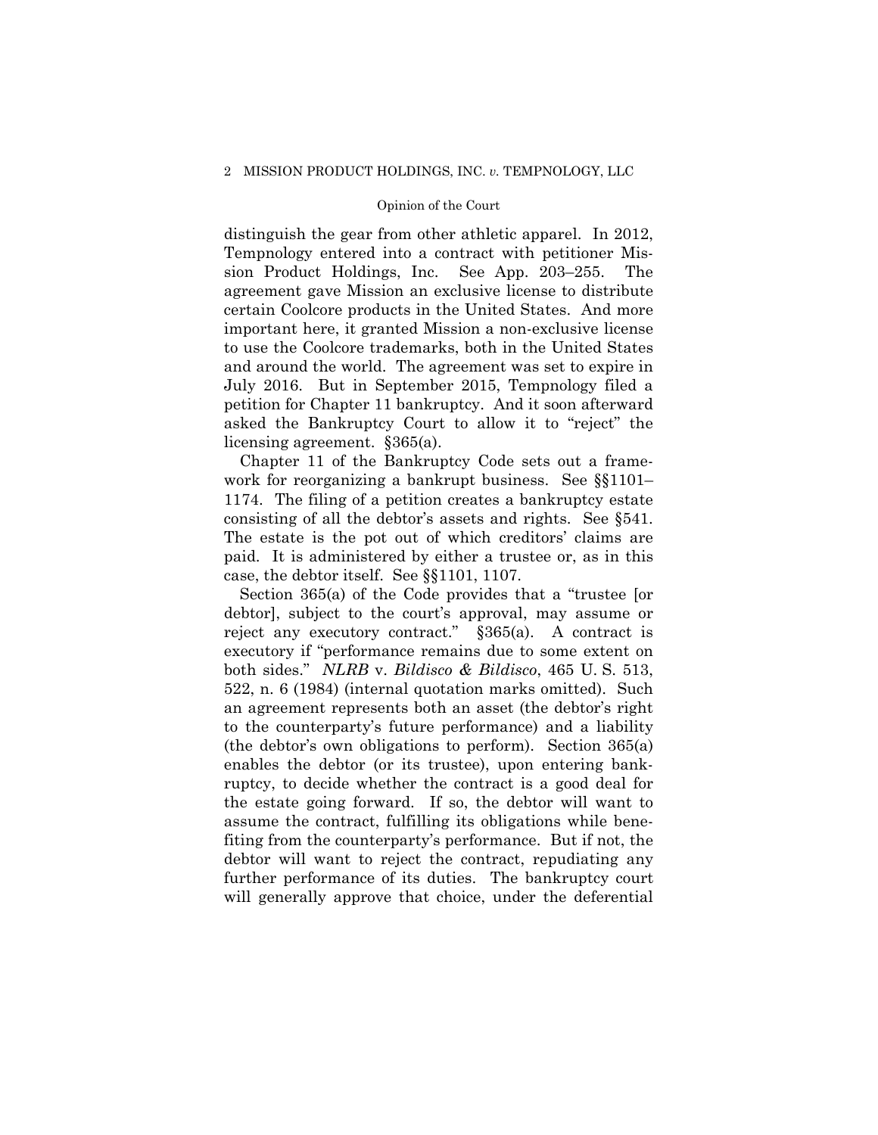and around the world. The agreement was set to expire in distinguish the gear from other athletic apparel. In 2012, Tempnology entered into a contract with petitioner Mission Product Holdings, Inc. See App. 203–255. The agreement gave Mission an exclusive license to distribute certain Coolcore products in the United States. And more important here, it granted Mission a non-exclusive license to use the Coolcore trademarks, both in the United States July 2016. But in September 2015, Tempnology filed a petition for Chapter 11 bankruptcy. And it soon afterward asked the Bankruptcy Court to allow it to "reject" the licensing agreement. §365(a).

Chapter 11 of the Bankruptcy Code sets out a framework for reorganizing a bankrupt business. See §§1101– 1174. The filing of a petition creates a bankruptcy estate consisting of all the debtor's assets and rights. See §541. The estate is the pot out of which creditors' claims are paid. It is administered by either a trustee or, as in this case, the debtor itself. See §§1101, 1107.

 both sides." *NLRB* v. *Bildisco & Bildisco*, 465 U. S. 513, Section 365(a) of the Code provides that a "trustee [or debtor], subject to the court's approval, may assume or reject any executory contract." §365(a). A contract is executory if "performance remains due to some extent on 522, n. 6 (1984) (internal quotation marks omitted). Such an agreement represents both an asset (the debtor's right to the counterparty's future performance) and a liability (the debtor's own obligations to perform). Section 365(a) enables the debtor (or its trustee), upon entering bankruptcy, to decide whether the contract is a good deal for the estate going forward. If so, the debtor will want to assume the contract, fulfilling its obligations while benefiting from the counterparty's performance. But if not, the debtor will want to reject the contract, repudiating any further performance of its duties. The bankruptcy court will generally approve that choice, under the deferential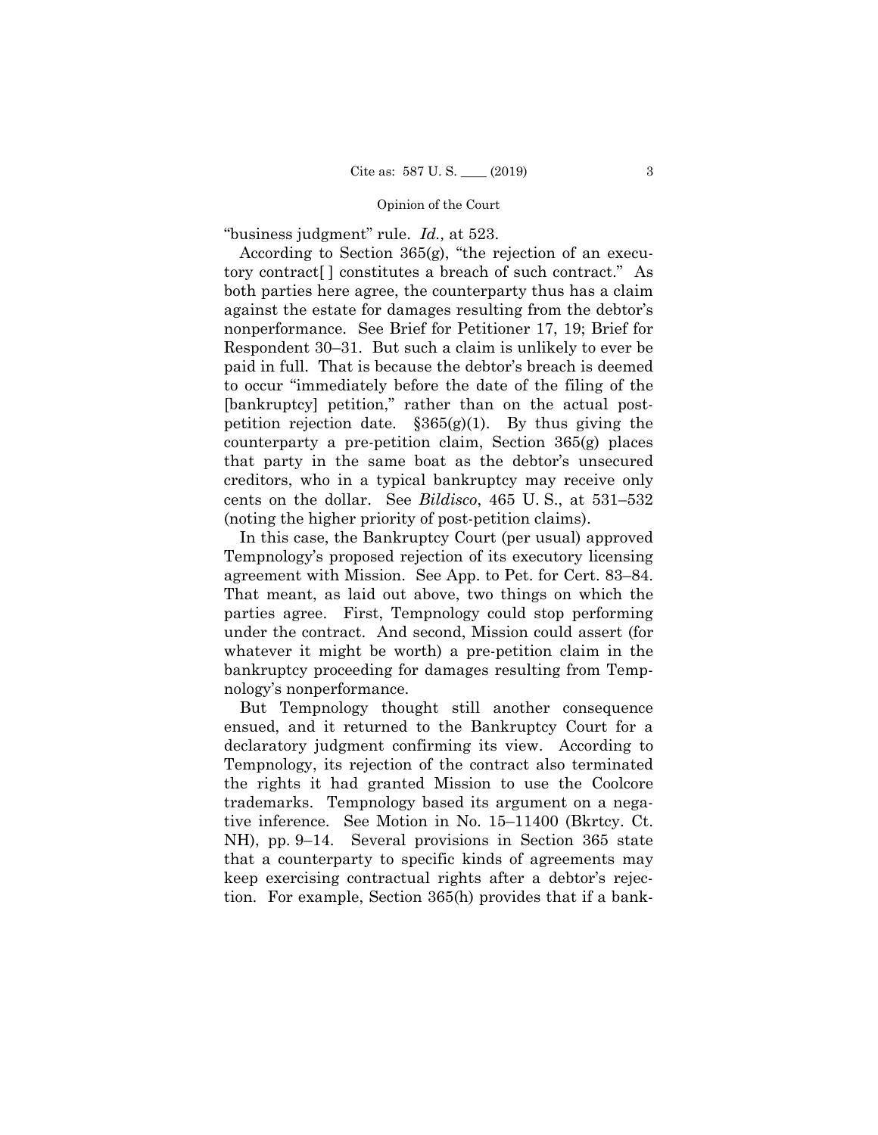"business judgment" rule. *Id.,* at 523.

According to Section 365(g), "the rejection of an executory contract[ ] constitutes a breach of such contract." As both parties here agree, the counterparty thus has a claim against the estate for damages resulting from the debtor's nonperformance. See Brief for Petitioner 17, 19; Brief for Respondent 30–31. But such a claim is unlikely to ever be paid in full. That is because the debtor's breach is deemed to occur "immediately before the date of the filing of the [bankruptcy] petition," rather than on the actual postpetition rejection date.  $\S 365(g)(1)$ . By thus giving the counterparty a pre-petition claim, Section 365(g) places that party in the same boat as the debtor's unsecured creditors, who in a typical bankruptcy may receive only cents on the dollar. See *Bildisco*, 465 U. S., at 531–532 (noting the higher priority of post-petition claims).

 agreement with Mission. See App. to Pet. for Cert. 83–84. In this case, the Bankruptcy Court (per usual) approved Tempnology's proposed rejection of its executory licensing That meant, as laid out above, two things on which the parties agree. First, Tempnology could stop performing under the contract. And second, Mission could assert (for whatever it might be worth) a pre-petition claim in the bankruptcy proceeding for damages resulting from Tempnology's nonperformance.

But Tempnology thought still another consequence ensued, and it returned to the Bankruptcy Court for a declaratory judgment confirming its view. According to Tempnology, its rejection of the contract also terminated the rights it had granted Mission to use the Coolcore trademarks. Tempnology based its argument on a negative inference. See Motion in No. 15–11400 (Bkrtcy. Ct. NH), pp. 9–14. Several provisions in Section 365 state that a counterparty to specific kinds of agreements may keep exercising contractual rights after a debtor's rejection. For example, Section 365(h) provides that if a bank-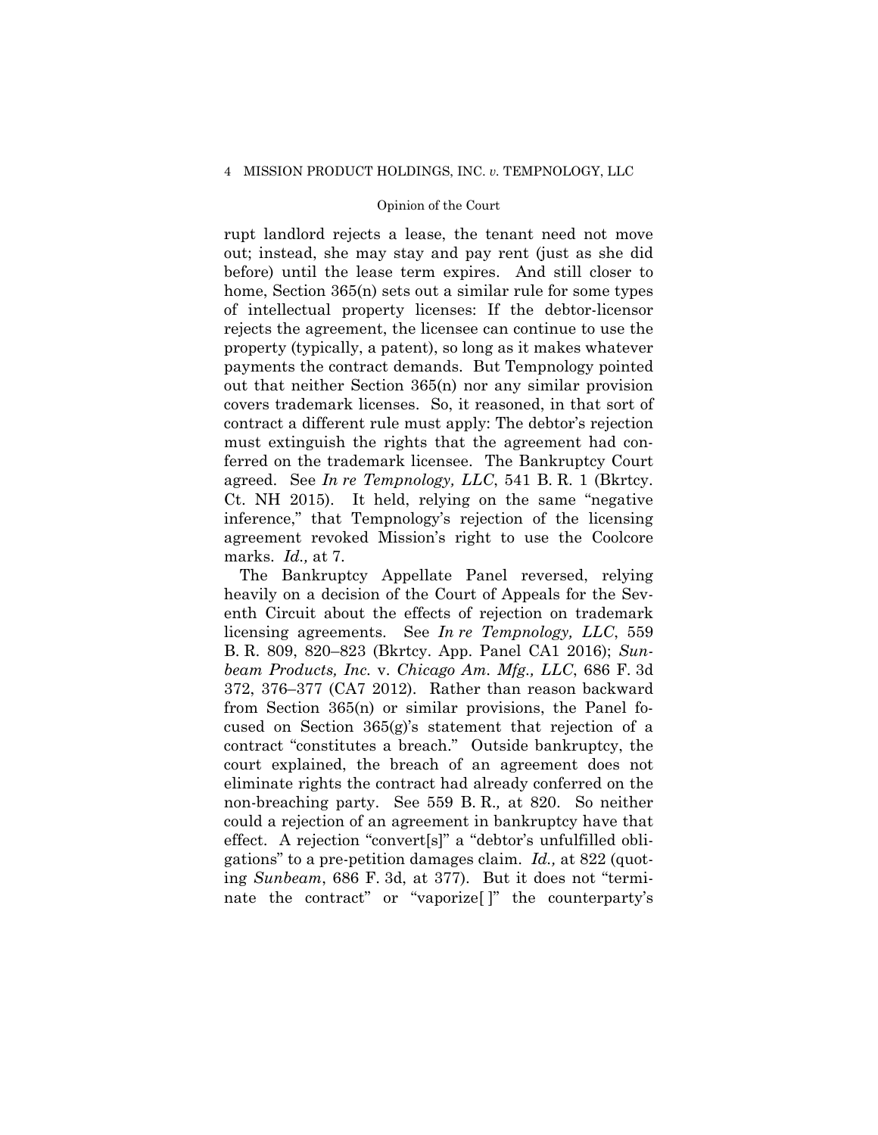#### Opinion of the Court

rupt landlord rejects a lease, the tenant need not move out; instead, she may stay and pay rent (just as she did before) until the lease term expires. And still closer to home, Section 365(n) sets out a similar rule for some types of intellectual property licenses: If the debtor-licensor rejects the agreement, the licensee can continue to use the property (typically, a patent), so long as it makes whatever payments the contract demands. But Tempnology pointed out that neither Section 365(n) nor any similar provision covers trademark licenses. So, it reasoned, in that sort of contract a different rule must apply: The debtor's rejection must extinguish the rights that the agreement had conferred on the trademark licensee. The Bankruptcy Court agreed. See *In re Tempnology, LLC*, 541 B. R. 1 (Bkrtcy. Ct. NH 2015). It held, relying on the same "negative inference," that Tempnology's rejection of the licensing agreement revoked Mission's right to use the Coolcore marks. *Id.,* at 7.

The Bankruptcy Appellate Panel reversed, relying heavily on a decision of the Court of Appeals for the Seventh Circuit about the effects of rejection on trademark licensing agreements. See *In re Tempnology, LLC*, 559 B. R. 809, 820–823 (Bkrtcy. App. Panel CA1 2016); *Sunbeam Products, Inc.* v. *Chicago Am. Mfg., LLC*, 686 F. 3d 372, 376–377 (CA7 2012). Rather than reason backward from Section 365(n) or similar provisions, the Panel focused on Section 365(g)'s statement that rejection of a contract "constitutes a breach." Outside bankruptcy, the court explained, the breach of an agreement does not eliminate rights the contract had already conferred on the non-breaching party. See 559 B. R.*,* at 820. So neither could a rejection of an agreement in bankruptcy have that effect. A rejection "convert[s]" a "debtor's unfulfilled obligations" to a pre-petition damages claim. *Id.,* at 822 (quoting *Sunbeam*, 686 F. 3d, at 377). But it does not "terminate the contract" or "vaporize[ ]" the counterparty's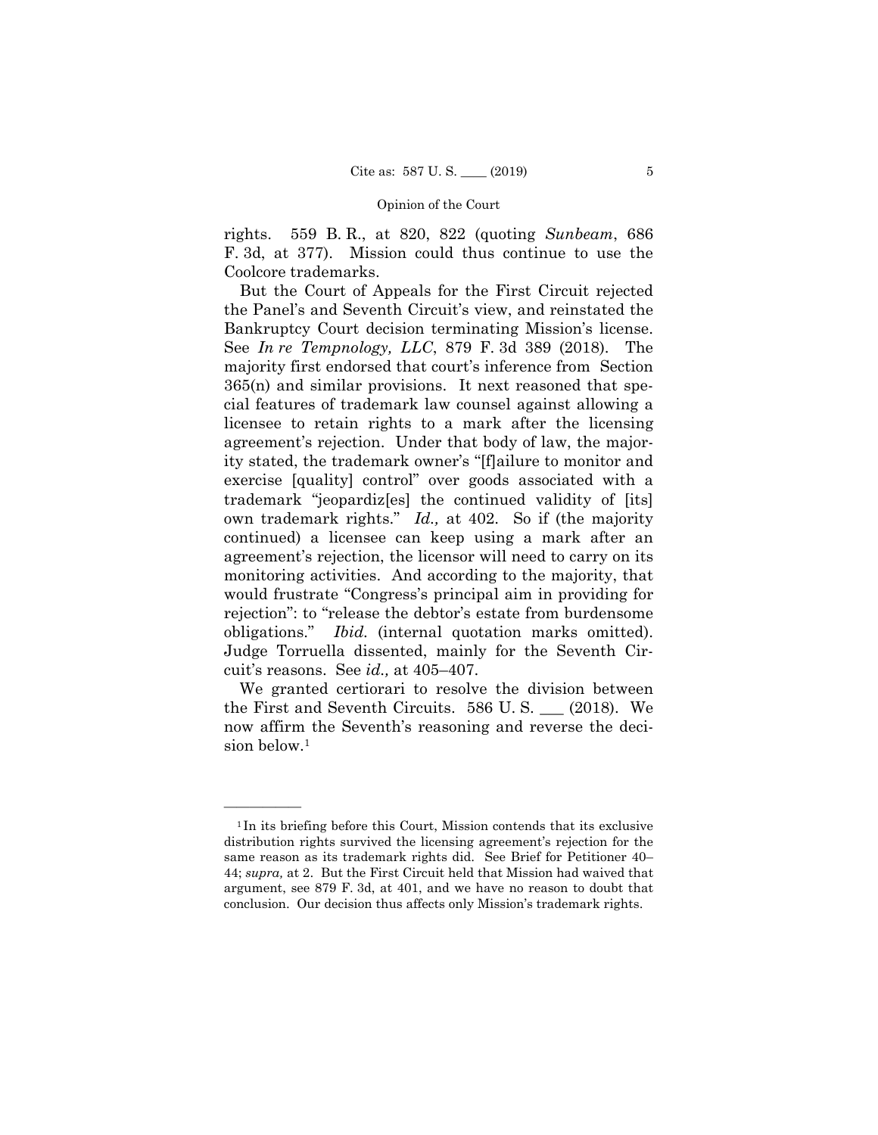rights. 559 B. R., at 820, 822 (quoting *Sunbeam*, 686 F. 3d, at 377). Mission could thus continue to use the Coolcore trademarks.

obligations." But the Court of Appeals for the First Circuit rejected the Panel's and Seventh Circuit's view, and reinstated the Bankruptcy Court decision terminating Mission's license. See *In re Tempnology, LLC*, 879 F. 3d 389 (2018). The majority first endorsed that court's inference from Section 365(n) and similar provisions. It next reasoned that special features of trademark law counsel against allowing a licensee to retain rights to a mark after the licensing agreement's rejection. Under that body of law, the majority stated, the trademark owner's "[f]ailure to monitor and exercise [quality] control" over goods associated with a trademark "jeopardiz[es] the continued validity of [its] own trademark rights." *Id.,* at 402. So if (the majority continued) a licensee can keep using a mark after an agreement's rejection, the licensor will need to carry on its monitoring activities. And according to the majority, that would frustrate "Congress's principal aim in providing for rejection": to "release the debtor's estate from burdensome *Ibid.* (internal quotation marks omitted). Judge Torruella dissented, mainly for the Seventh Circuit's reasons. See *id.,* at 405–407.

We granted certiorari to resolve the division between the First and Seventh Circuits. 586 U. S. \_\_\_ (2018). We now affirm the Seventh's reasoning and reverse the decision below.<sup>1</sup>

——————

<sup>&</sup>lt;sup>1</sup>In its briefing before this Court, Mission contends that its exclusive distribution rights survived the licensing agreement's rejection for the same reason as its trademark rights did. See Brief for Petitioner 40– 44; *supra,* at 2. But the First Circuit held that Mission had waived that argument, see 879 F. 3d, at 401, and we have no reason to doubt that conclusion. Our decision thus affects only Mission's trademark rights.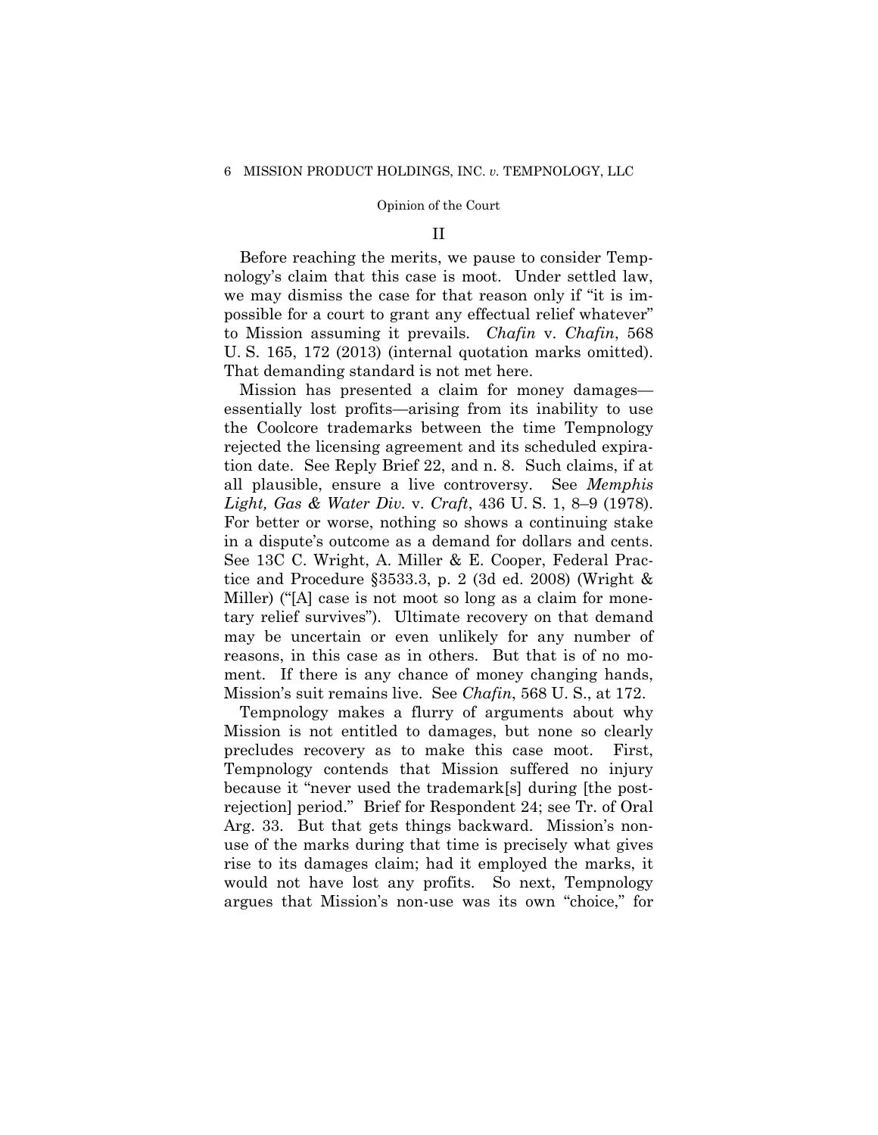#### II

Before reaching the merits, we pause to consider Tempnology's claim that this case is moot. Under settled law, we may dismiss the case for that reason only if "it is impossible for a court to grant any effectual relief whatever" to Mission assuming it prevails. *Chafin* v. *Chafin*, 568 U. S. 165, 172 (2013) (internal quotation marks omitted). That demanding standard is not met here.

 in a dispute's outcome as a demand for dollars and cents. Mission has presented a claim for money damages essentially lost profits—arising from its inability to use the Coolcore trademarks between the time Tempnology rejected the licensing agreement and its scheduled expiration date. See Reply Brief 22, and n. 8. Such claims, if at all plausible, ensure a live controversy. See *Memphis Light, Gas & Water Div.* v. *Craft*, 436 U. S. 1, 8–9 (1978). For better or worse, nothing so shows a continuing stake See 13C C. Wright, A. Miller & E. Cooper, Federal Practice and Procedure §3533.3, p. 2 (3d ed. 2008) (Wright & Miller) ("[A] case is not moot so long as a claim for monetary relief survives"). Ultimate recovery on that demand may be uncertain or even unlikely for any number of reasons, in this case as in others. But that is of no moment. If there is any chance of money changing hands, Mission's suit remains live. See *Chafin*, 568 U. S., at 172.

Tempnology makes a flurry of arguments about why Mission is not entitled to damages, but none so clearly precludes recovery as to make this case moot. First, Tempnology contends that Mission suffered no injury because it "never used the trademark[s] during [the postrejection] period." Brief for Respondent 24; see Tr. of Oral Arg. 33. But that gets things backward. Mission's nonuse of the marks during that time is precisely what gives rise to its damages claim; had it employed the marks, it would not have lost any profits. So next, Tempnology argues that Mission's non-use was its own "choice," for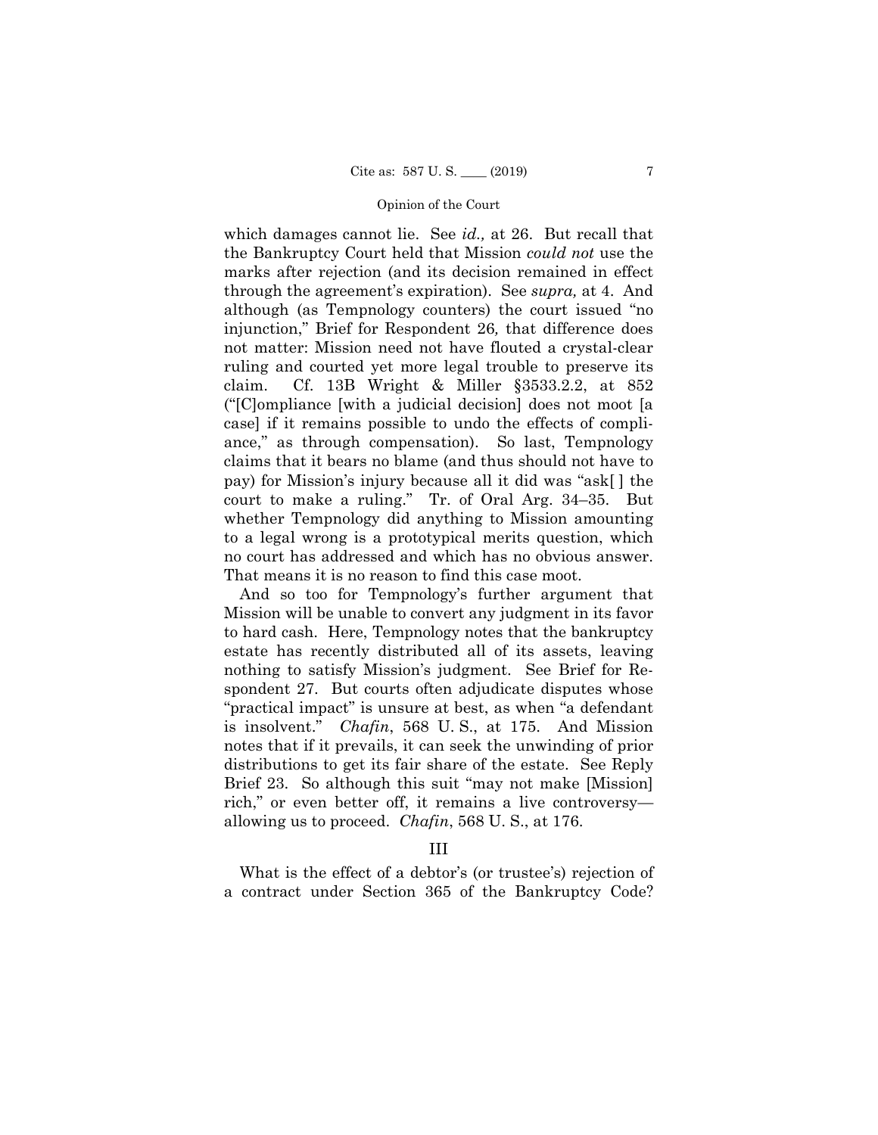which damages cannot lie. See *id.,* at 26. But recall that the Bankruptcy Court held that Mission *could not* use the marks after rejection (and its decision remained in effect through the agreement's expiration). See *supra,* at 4. And although (as Tempnology counters) the court issued "no injunction," Brief for Respondent 26*,* that difference does not matter: Mission need not have flouted a crystal-clear ruling and courted yet more legal trouble to preserve its claim. Cf. 13B Wright & Miller §3533.2.2, at 852 ("[C]ompliance [with a judicial decision] does not moot [a case] if it remains possible to undo the effects of compliance," as through compensation). So last, Tempnology claims that it bears no blame (and thus should not have to pay) for Mission's injury because all it did was "ask[ ] the court to make a ruling." Tr. of Oral Arg. 34–35. But whether Tempnology did anything to Mission amounting to a legal wrong is a prototypical merits question, which no court has addressed and which has no obvious answer. That means it is no reason to find this case moot.

And so too for Tempnology's further argument that Mission will be unable to convert any judgment in its favor to hard cash. Here, Tempnology notes that the bankruptcy estate has recently distributed all of its assets, leaving nothing to satisfy Mission's judgment. See Brief for Respondent 27. But courts often adjudicate disputes whose "practical impact" is unsure at best, as when "a defendant is insolvent." *Chafin*, 568 U. S., at 175. And Mission notes that if it prevails, it can seek the unwinding of prior distributions to get its fair share of the estate. See Reply Brief 23. So although this suit "may not make [Mission] rich," or even better off, it remains a live controversy allowing us to proceed. *Chafin*, 568 U. S., at 176.

### III

What is the effect of a debtor's (or trustee's) rejection of a contract under Section 365 of the Bankruptcy Code?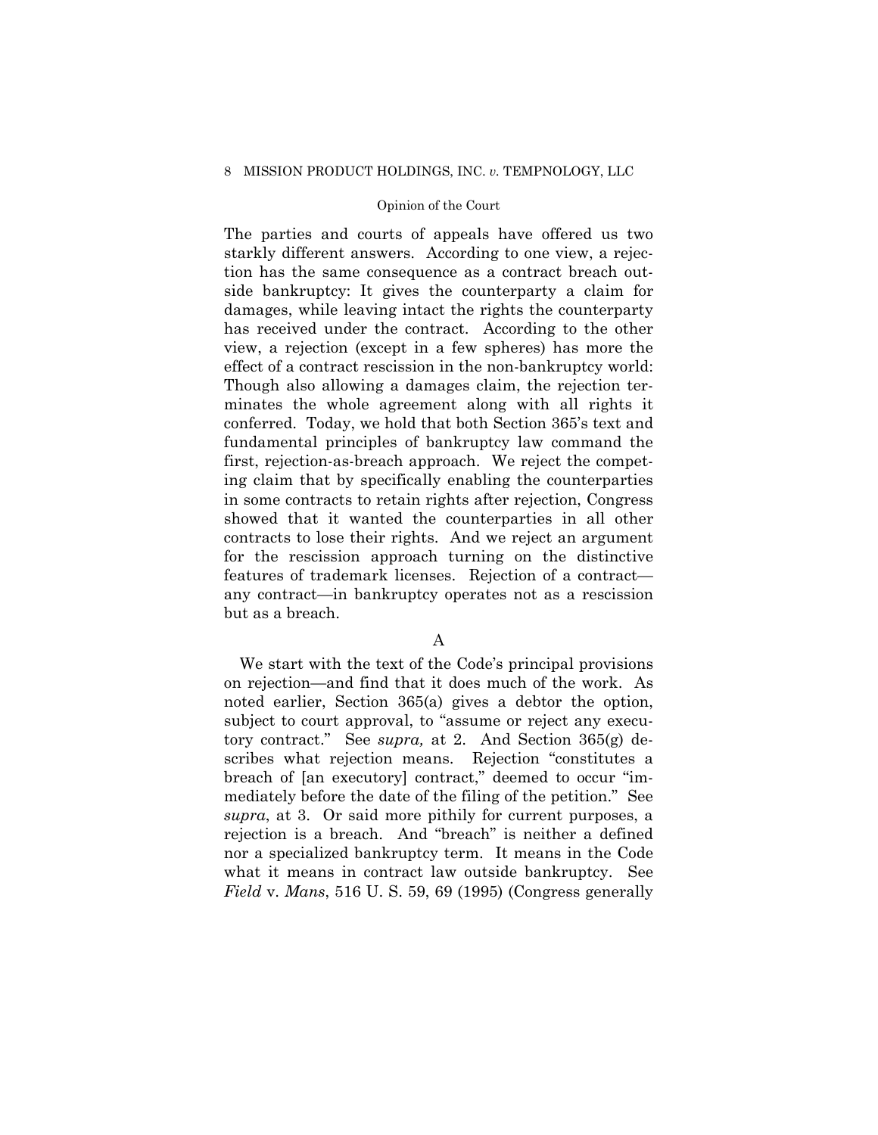#### Opinion of the Court

The parties and courts of appeals have offered us two starkly different answers. According to one view, a rejection has the same consequence as a contract breach outside bankruptcy: It gives the counterparty a claim for damages, while leaving intact the rights the counterparty has received under the contract. According to the other view, a rejection (except in a few spheres) has more the effect of a contract rescission in the non-bankruptcy world: Though also allowing a damages claim, the rejection terminates the whole agreement along with all rights it conferred. Today, we hold that both Section 365's text and fundamental principles of bankruptcy law command the first, rejection-as-breach approach. We reject the competing claim that by specifically enabling the counterparties in some contracts to retain rights after rejection, Congress showed that it wanted the counterparties in all other contracts to lose their rights. And we reject an argument for the rescission approach turning on the distinctive features of trademark licenses. Rejection of a contract any contract—in bankruptcy operates not as a rescission but as a breach.

## A

 what it means in contract law outside bankruptcy. See We start with the text of the Code's principal provisions on rejection—and find that it does much of the work. As noted earlier, Section 365(a) gives a debtor the option, subject to court approval, to "assume or reject any executory contract." See *supra,* at 2. And Section 365(g) describes what rejection means. Rejection "constitutes a breach of [an executory] contract," deemed to occur "immediately before the date of the filing of the petition." See *supra*, at 3. Or said more pithily for current purposes, a rejection is a breach. And "breach" is neither a defined nor a specialized bankruptcy term. It means in the Code *Field* v. *Mans*, 516 U. S. 59, 69 (1995) (Congress generally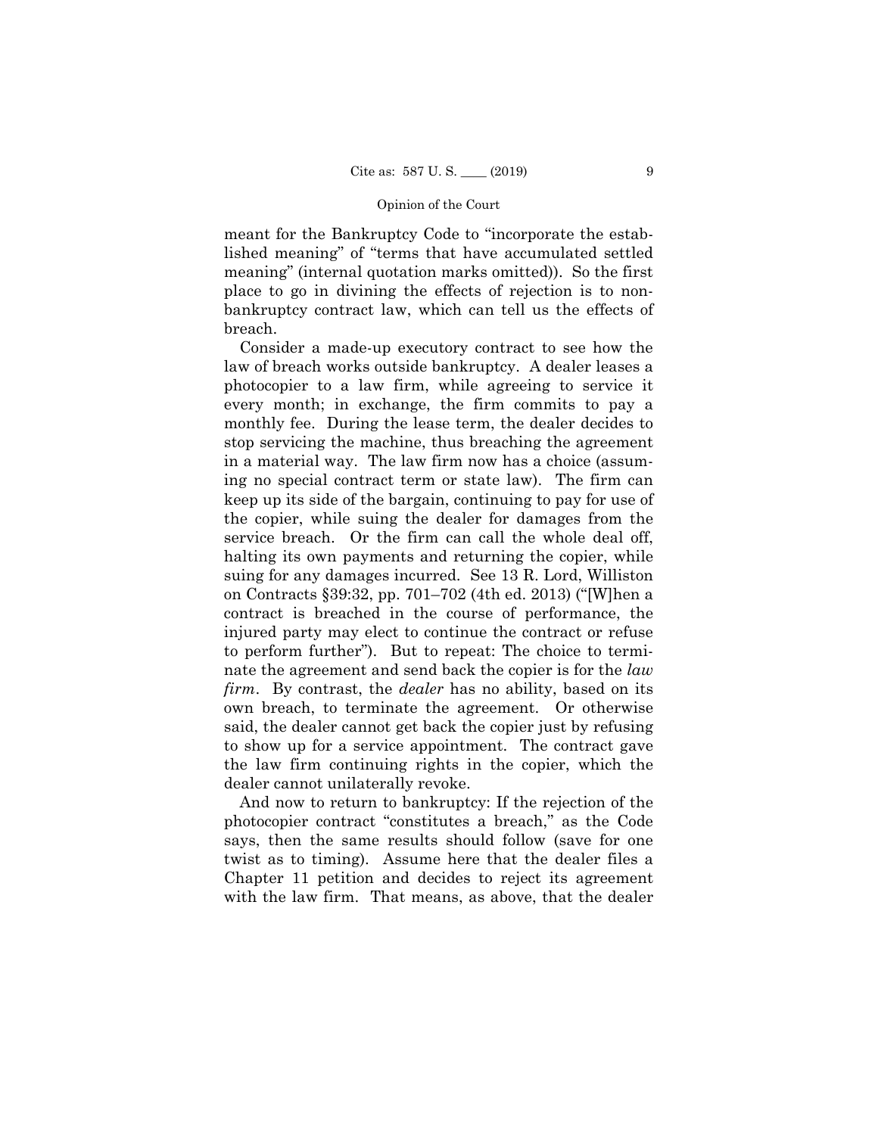meant for the Bankruptcy Code to "incorporate the established meaning" of "terms that have accumulated settled meaning" (internal quotation marks omitted)). So the first place to go in divining the effects of rejection is to nonbankruptcy contract law, which can tell us the effects of breach.

Consider a made-up executory contract to see how the law of breach works outside bankruptcy. A dealer leases a photocopier to a law firm, while agreeing to service it every month; in exchange, the firm commits to pay a monthly fee. During the lease term, the dealer decides to stop servicing the machine, thus breaching the agreement in a material way. The law firm now has a choice (assuming no special contract term or state law). The firm can keep up its side of the bargain, continuing to pay for use of the copier, while suing the dealer for damages from the service breach. Or the firm can call the whole deal off, halting its own payments and returning the copier, while suing for any damages incurred. See 13 R. Lord, Williston on Contracts §39:32, pp. 701–702 (4th ed. 2013) ("[W]hen a contract is breached in the course of performance, the injured party may elect to continue the contract or refuse to perform further"). But to repeat: The choice to terminate the agreement and send back the copier is for the *law firm*. By contrast, the *dealer* has no ability, based on its own breach, to terminate the agreement. Or otherwise said, the dealer cannot get back the copier just by refusing to show up for a service appointment. The contract gave the law firm continuing rights in the copier, which the dealer cannot unilaterally revoke.

And now to return to bankruptcy: If the rejection of the photocopier contract "constitutes a breach," as the Code says, then the same results should follow (save for one twist as to timing). Assume here that the dealer files a Chapter 11 petition and decides to reject its agreement with the law firm. That means, as above, that the dealer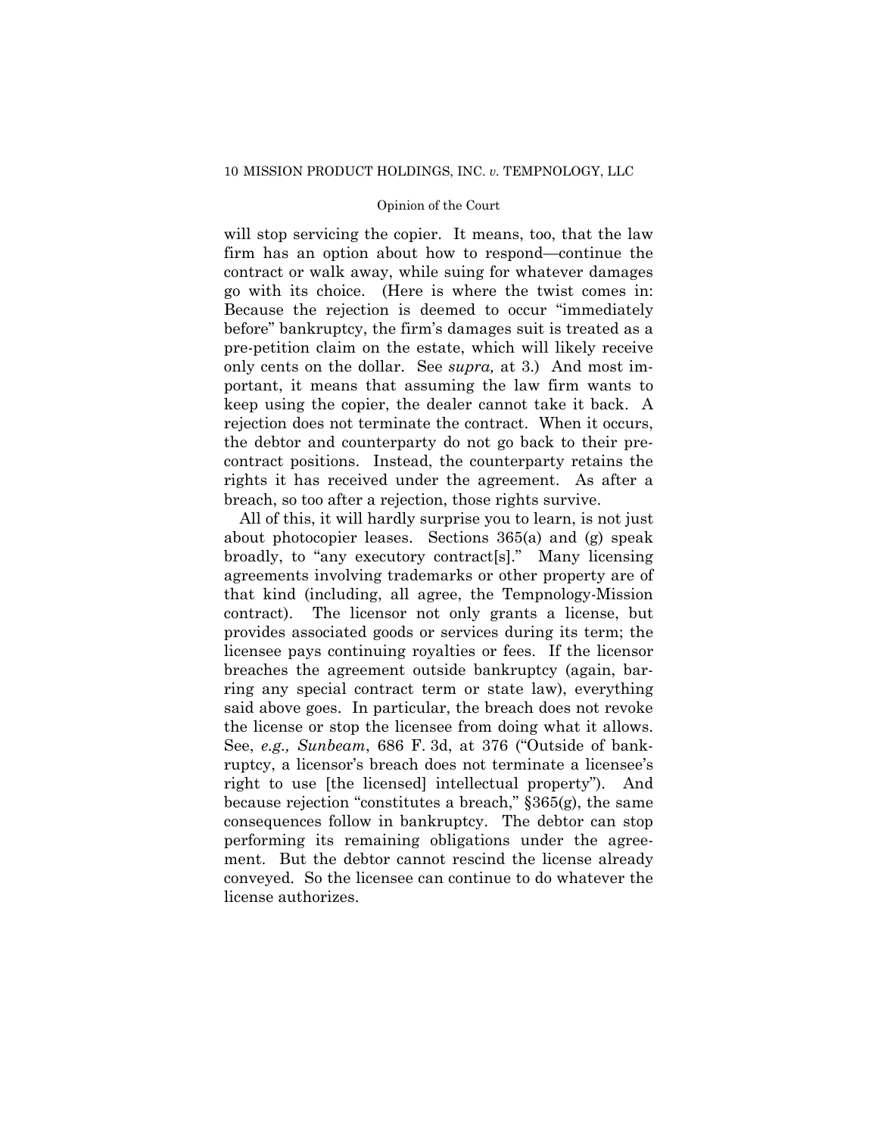will stop servicing the copier. It means, too, that the law firm has an option about how to respond—continue the contract or walk away, while suing for whatever damages go with its choice. (Here is where the twist comes in: Because the rejection is deemed to occur "immediately before" bankruptcy, the firm's damages suit is treated as a pre-petition claim on the estate, which will likely receive only cents on the dollar. See *supra,* at 3.) And most important, it means that assuming the law firm wants to keep using the copier, the dealer cannot take it back. A rejection does not terminate the contract. When it occurs, the debtor and counterparty do not go back to their precontract positions. Instead, the counterparty retains the rights it has received under the agreement. As after a breach, so too after a rejection, those rights survive.

All of this, it will hardly surprise you to learn, is not just about photocopier leases. Sections 365(a) and (g) speak broadly, to "any executory contract[s]." Many licensing agreements involving trademarks or other property are of that kind (including, all agree, the Tempnology-Mission contract). The licensor not only grants a license, but provides associated goods or services during its term; the licensee pays continuing royalties or fees. If the licensor breaches the agreement outside bankruptcy (again, barring any special contract term or state law), everything said above goes. In particular, the breach does not revoke the license or stop the licensee from doing what it allows. See, *e.g., Sunbeam*, 686 F. 3d, at 376 ("Outside of bankruptcy, a licensor's breach does not terminate a licensee's right to use [the licensed] intellectual property"). And because rejection "constitutes a breach," §365(g), the same consequences follow in bankruptcy. The debtor can stop performing its remaining obligations under the agreement. But the debtor cannot rescind the license already conveyed. So the licensee can continue to do whatever the license authorizes.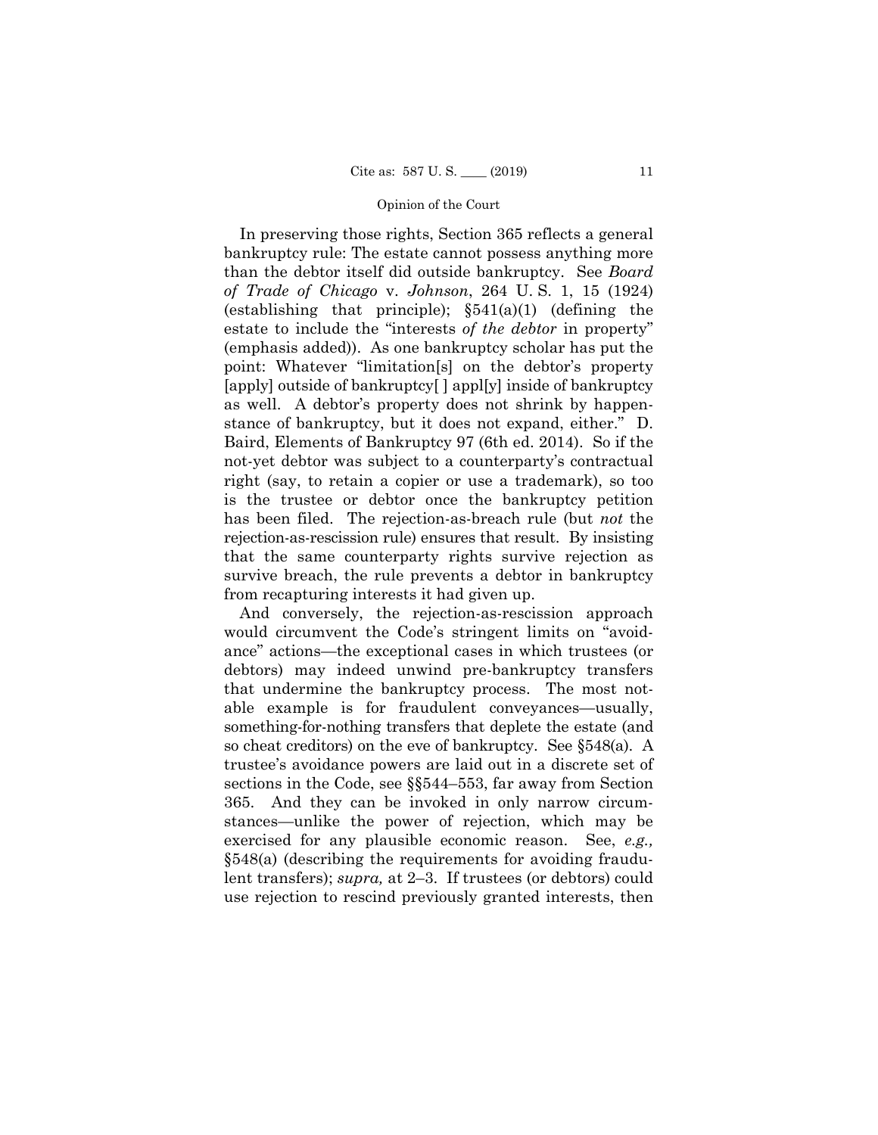In preserving those rights, Section 365 reflects a general bankruptcy rule: The estate cannot possess anything more than the debtor itself did outside bankruptcy. See *Board of Trade of Chicago* v. *Johnson*, 264 U. S. 1, 15 (1924) (establishing that principle);  $\S541(a)(1)$  (defining the estate to include the "interests *of the debtor* in property" (emphasis added)). As one bankruptcy scholar has put the point: Whatever "limitation[s] on the debtor's property [apply] outside of bankruptcy[ ] appl[y] inside of bankruptcy as well. A debtor's property does not shrink by happenstance of bankruptcy, but it does not expand, either." D. Baird, Elements of Bankruptcy 97 (6th ed. 2014). So if the not-yet debtor was subject to a counterparty's contractual right (say, to retain a copier or use a trademark), so too is the trustee or debtor once the bankruptcy petition has been filed. The rejection-as-breach rule (but *not* the rejection-as-rescission rule) ensures that result. By insisting that the same counterparty rights survive rejection as survive breach, the rule prevents a debtor in bankruptcy from recapturing interests it had given up.

And conversely, the rejection-as-rescission approach would circumvent the Code's stringent limits on "avoidance" actions—the exceptional cases in which trustees (or debtors) may indeed unwind pre-bankruptcy transfers that undermine the bankruptcy process. The most notable example is for fraudulent conveyances—usually, something-for-nothing transfers that deplete the estate (and so cheat creditors) on the eve of bankruptcy. See §548(a). A trustee's avoidance powers are laid out in a discrete set of sections in the Code, see §§544–553, far away from Section 365. And they can be invoked in only narrow circumstances—unlike the power of rejection, which may be exercised for any plausible economic reason. See, *e.g.,* §548(a) (describing the requirements for avoiding fraudulent transfers); *supra,* at 2–3. If trustees (or debtors) could use rejection to rescind previously granted interests, then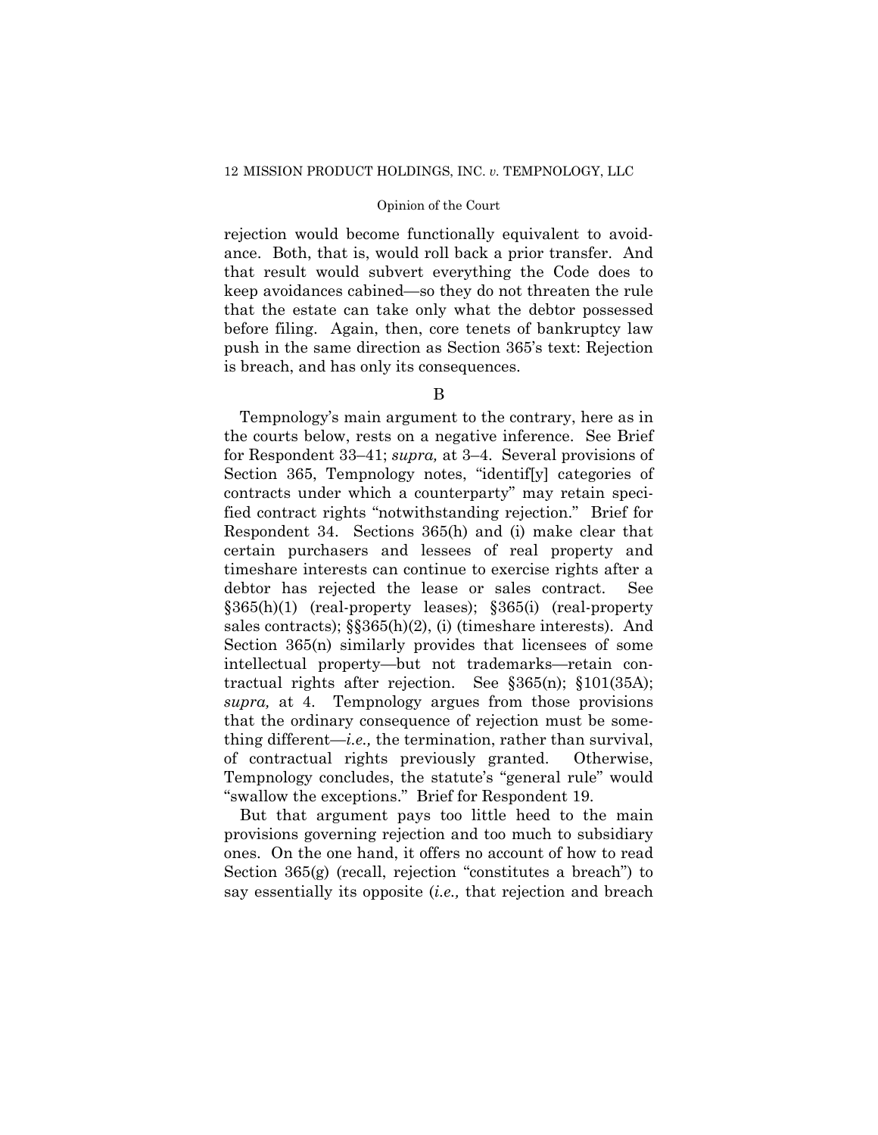### Opinion of the Court

rejection would become functionally equivalent to avoidance. Both, that is, would roll back a prior transfer. And that result would subvert everything the Code does to keep avoidances cabined—so they do not threaten the rule that the estate can take only what the debtor possessed before filing. Again, then, core tenets of bankruptcy law push in the same direction as Section 365's text: Rejection is breach, and has only its consequences.

B

Tempnology's main argument to the contrary, here as in the courts below, rests on a negative inference. See Brief for Respondent 33–41; *supra,* at 3–4. Several provisions of Section 365, Tempnology notes, "identif[y] categories of contracts under which a counterparty" may retain specified contract rights "notwithstanding rejection." Brief for Respondent 34. Sections 365(h) and (i) make clear that certain purchasers and lessees of real property and timeshare interests can continue to exercise rights after a debtor has rejected the lease or sales contract. See §365(h)(1) (real-property leases); §365(i) (real-property sales contracts);  $\S$ §365(h)(2), (i) (timeshare interests). And Section 365(n) similarly provides that licensees of some intellectual property—but not trademarks—retain contractual rights after rejection. See §365(n); §101(35A); *supra,* at 4. Tempnology argues from those provisions that the ordinary consequence of rejection must be something different—*i.e.,* the termination, rather than survival, of contractual rights previously granted. Otherwise, Tempnology concludes, the statute's "general rule" would "swallow the exceptions." Brief for Respondent 19.

But that argument pays too little heed to the main provisions governing rejection and too much to subsidiary ones. On the one hand, it offers no account of how to read Section 365(g) (recall, rejection "constitutes a breach") to say essentially its opposite (*i.e.,* that rejection and breach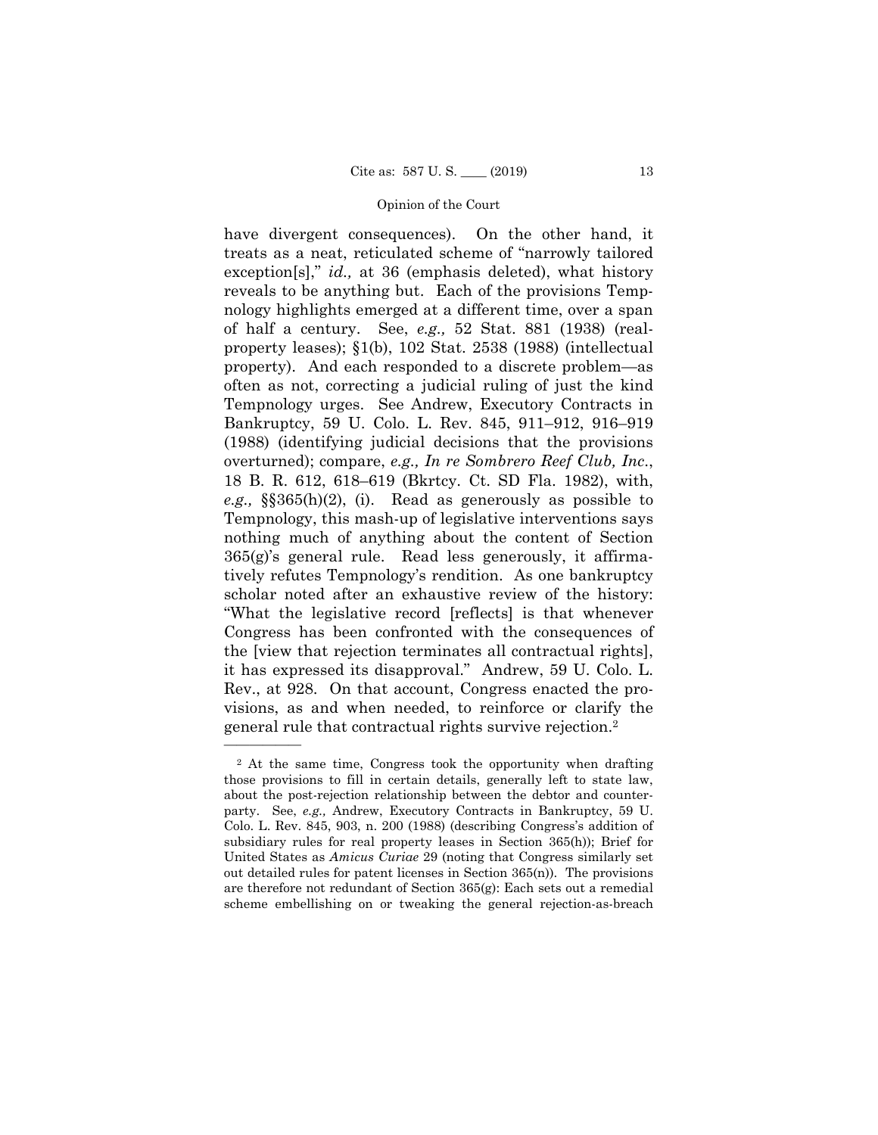property). And each responded to a discrete problem—as have divergent consequences). On the other hand, it treats as a neat, reticulated scheme of "narrowly tailored exception[s]," *id.,* at 36 (emphasis deleted), what history reveals to be anything but. Each of the provisions Tempnology highlights emerged at a different time, over a span of half a century. See, *e.g.,* 52 Stat. 881 (1938) (realproperty leases); §1(b), 102 Stat. 2538 (1988) (intellectual often as not, correcting a judicial ruling of just the kind Tempnology urges. See Andrew, Executory Contracts in Bankruptcy, 59 U. Colo. L. Rev. 845, 911–912, 916–919 (1988) (identifying judicial decisions that the provisions overturned); compare, *e.g., In re Sombrero Reef Club, Inc*., 18 B. R. 612, 618–619 (Bkrtcy. Ct. SD Fla. 1982), with, *e.g.,* §§365(h)(2), (i). Read as generously as possible to Tempnology, this mash-up of legislative interventions says nothing much of anything about the content of Section 365(g)'s general rule. Read less generously, it affirmatively refutes Tempnology's rendition. As one bankruptcy scholar noted after an exhaustive review of the history: "What the legislative record [reflects] is that whenever Congress has been confronted with the consequences of the [view that rejection terminates all contractual rights], it has expressed its disapproval." Andrew, 59 U. Colo. L. Rev., at 928. On that account, Congress enacted the provisions, as and when needed, to reinforce or clarify the general rule that contractual rights survive rejection.2

——————

 party. See, *e.g.,* Andrew, Executory Contracts in Bankruptcy, 59 U. 2 At the same time, Congress took the opportunity when drafting those provisions to fill in certain details, generally left to state law, about the post-rejection relationship between the debtor and counter-Colo. L. Rev. 845, 903, n. 200 (1988) (describing Congress's addition of subsidiary rules for real property leases in Section 365(h)); Brief for United States as *Amicus Curiae* 29 (noting that Congress similarly set out detailed rules for patent licenses in Section 365(n)). The provisions are therefore not redundant of Section 365(g): Each sets out a remedial scheme embellishing on or tweaking the general rejection-as-breach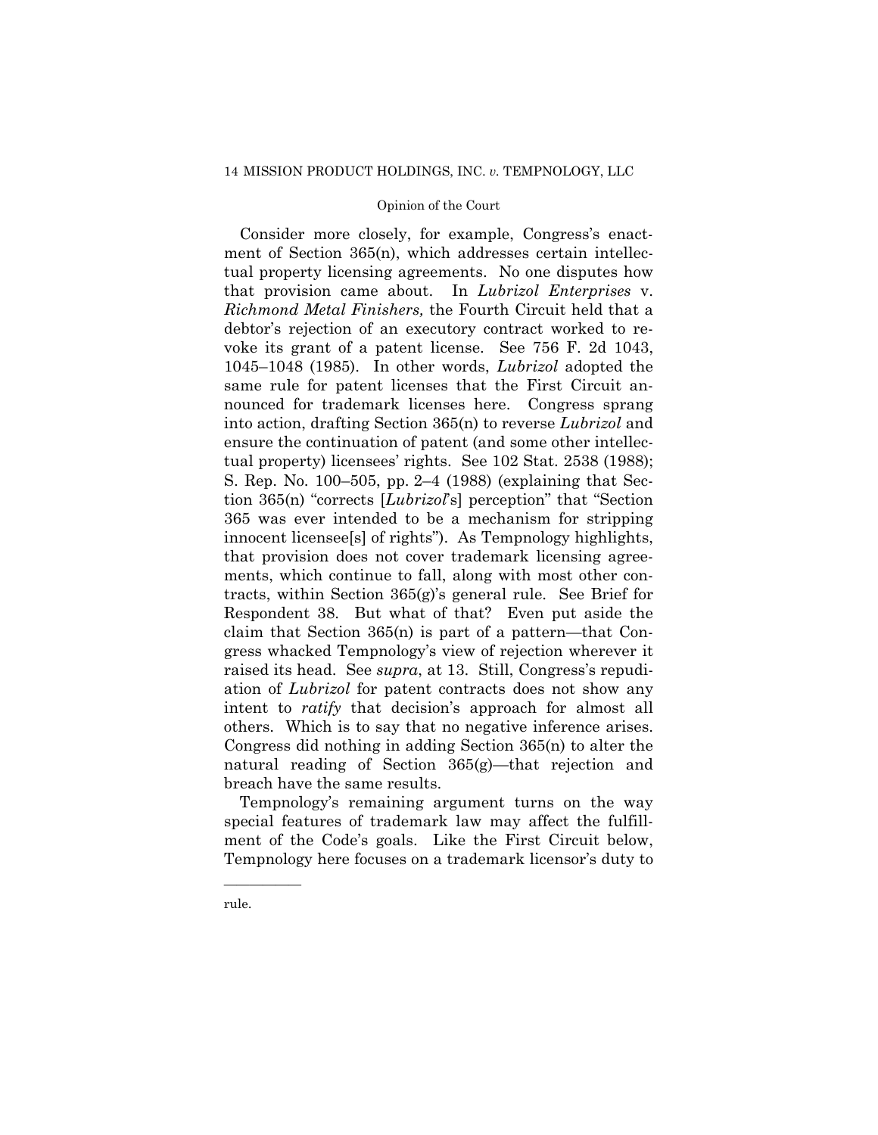### Opinion of the Court

 *Richmond Metal Finishers,* the Fourth Circuit held that a others. Which is to say that no negative inference arises. Consider more closely, for example, Congress's enactment of Section 365(n), which addresses certain intellectual property licensing agreements. No one disputes how that provision came about. In *Lubrizol Enterprises* v. debtor's rejection of an executory contract worked to revoke its grant of a patent license. See 756 F. 2d 1043, 1045–1048 (1985). In other words, *Lubrizol* adopted the same rule for patent licenses that the First Circuit announced for trademark licenses here. Congress sprang into action, drafting Section 365(n) to reverse *Lubrizol* and ensure the continuation of patent (and some other intellectual property) licensees' rights. See 102 Stat. 2538 (1988); S. Rep. No. 100–505, pp. 2–4 (1988) (explaining that Section 365(n) "corrects [*Lubrizol*'s] perception" that "Section 365 was ever intended to be a mechanism for stripping innocent licensee[s] of rights"). As Tempnology highlights, that provision does not cover trademark licensing agreements, which continue to fall, along with most other contracts, within Section 365(g)'s general rule. See Brief for Respondent 38. But what of that? Even put aside the claim that Section 365(n) is part of a pattern—that Congress whacked Tempnology's view of rejection wherever it raised its head. See *supra*, at 13. Still, Congress's repudiation of *Lubrizol* for patent contracts does not show any intent to *ratify* that decision's approach for almost all Congress did nothing in adding Section 365(n) to alter the natural reading of Section 365(g)—that rejection and breach have the same results.

Tempnology's remaining argument turns on the way special features of trademark law may affect the fulfillment of the Code's goals. Like the First Circuit below, Tempnology here focuses on a trademark licensor's duty to

rule.

——————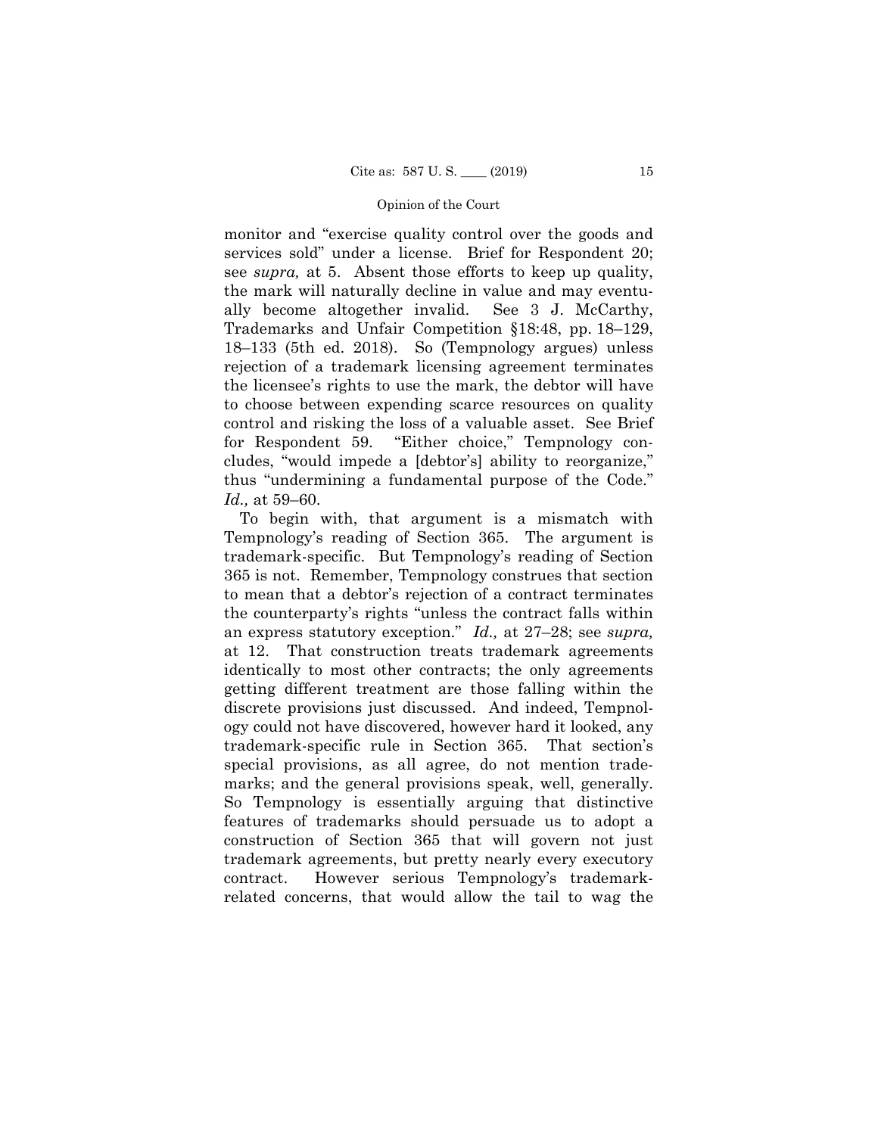thus "undermining a fundamental purpose of the Code." monitor and "exercise quality control over the goods and services sold" under a license. Brief for Respondent 20; see *supra,* at 5. Absent those efforts to keep up quality, the mark will naturally decline in value and may eventually become altogether invalid. See 3 J. McCarthy, Trademarks and Unfair Competition §18:48, pp. 18–129, 18–133 (5th ed. 2018). So (Tempnology argues) unless rejection of a trademark licensing agreement terminates the licensee's rights to use the mark, the debtor will have to choose between expending scarce resources on quality control and risking the loss of a valuable asset. See Brief for Respondent 59. "Either choice," Tempnology concludes, "would impede a [debtor's] ability to reorganize," *Id.,* at 59–60.

To begin with, that argument is a mismatch with Tempnology's reading of Section 365. The argument is trademark-specific. But Tempnology's reading of Section 365 is not. Remember, Tempnology construes that section to mean that a debtor's rejection of a contract terminates the counterparty's rights "unless the contract falls within an express statutory exception." *Id.,* at 27–28; see *supra,*  at 12. That construction treats trademark agreements identically to most other contracts; the only agreements getting different treatment are those falling within the discrete provisions just discussed. And indeed, Tempnology could not have discovered, however hard it looked, any trademark-specific rule in Section 365. That section's special provisions, as all agree, do not mention trademarks; and the general provisions speak, well, generally. So Tempnology is essentially arguing that distinctive features of trademarks should persuade us to adopt a construction of Section 365 that will govern not just trademark agreements, but pretty nearly every executory contract. However serious Tempnology's trademarkrelated concerns, that would allow the tail to wag the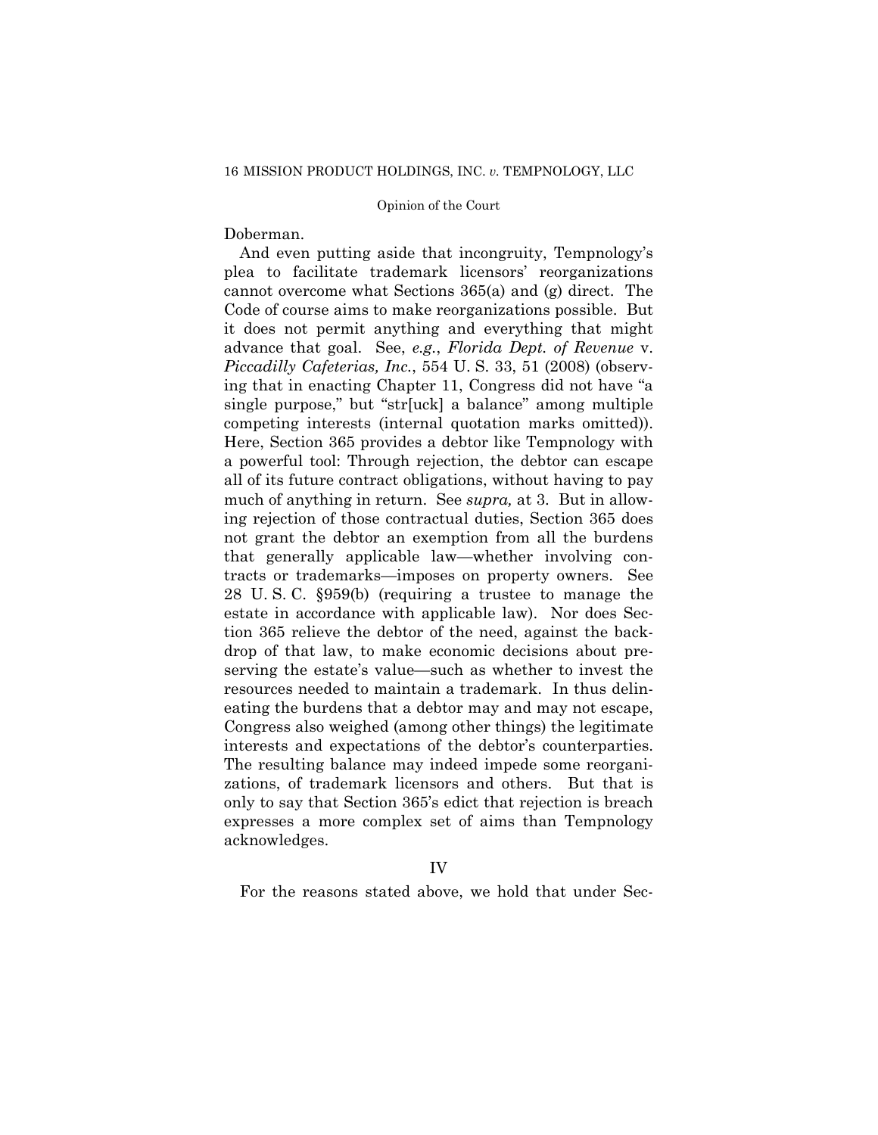## Doberman.

And even putting aside that incongruity, Tempnology's plea to facilitate trademark licensors' reorganizations cannot overcome what Sections 365(a) and (g) direct. The Code of course aims to make reorganizations possible. But it does not permit anything and everything that might advance that goal. See, *e.g.*, *Florida Dept. of Revenue* v. *Piccadilly Cafeterias, Inc.*, 554 U. S. 33, 51 (2008) (observing that in enacting Chapter 11, Congress did not have "a single purpose," but "str[uck] a balance" among multiple competing interests (internal quotation marks omitted)). Here, Section 365 provides a debtor like Tempnology with a powerful tool: Through rejection, the debtor can escape all of its future contract obligations, without having to pay much of anything in return. See *supra,* at 3. But in allowing rejection of those contractual duties, Section 365 does not grant the debtor an exemption from all the burdens that generally applicable law—whether involving contracts or trademarks—imposes on property owners. See 28 U. S. C. §959(b) (requiring a trustee to manage the estate in accordance with applicable law). Nor does Section 365 relieve the debtor of the need, against the backdrop of that law, to make economic decisions about preserving the estate's value—such as whether to invest the resources needed to maintain a trademark. In thus delineating the burdens that a debtor may and may not escape, Congress also weighed (among other things) the legitimate interests and expectations of the debtor's counterparties. The resulting balance may indeed impede some reorganizations, of trademark licensors and others. But that is only to say that Section 365's edict that rejection is breach expresses a more complex set of aims than Tempnology acknowledges.

For the reasons stated above, we hold that under Sec-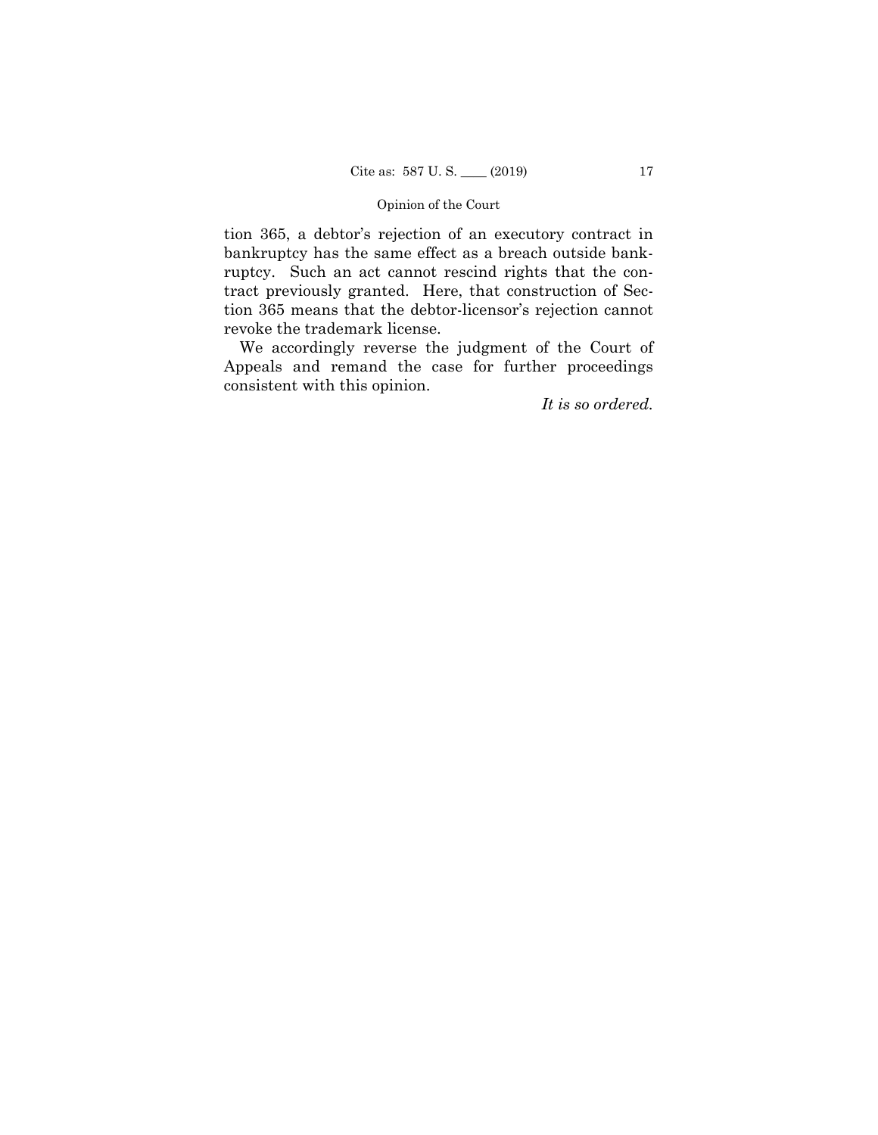tion 365, a debtor's rejection of an executory contract in bankruptcy has the same effect as a breach outside bankruptcy. Such an act cannot rescind rights that the contract previously granted. Here, that construction of Section 365 means that the debtor-licensor's rejection cannot revoke the trademark license.

We accordingly reverse the judgment of the Court of Appeals and remand the case for further proceedings consistent with this opinion.

*It is so ordered.*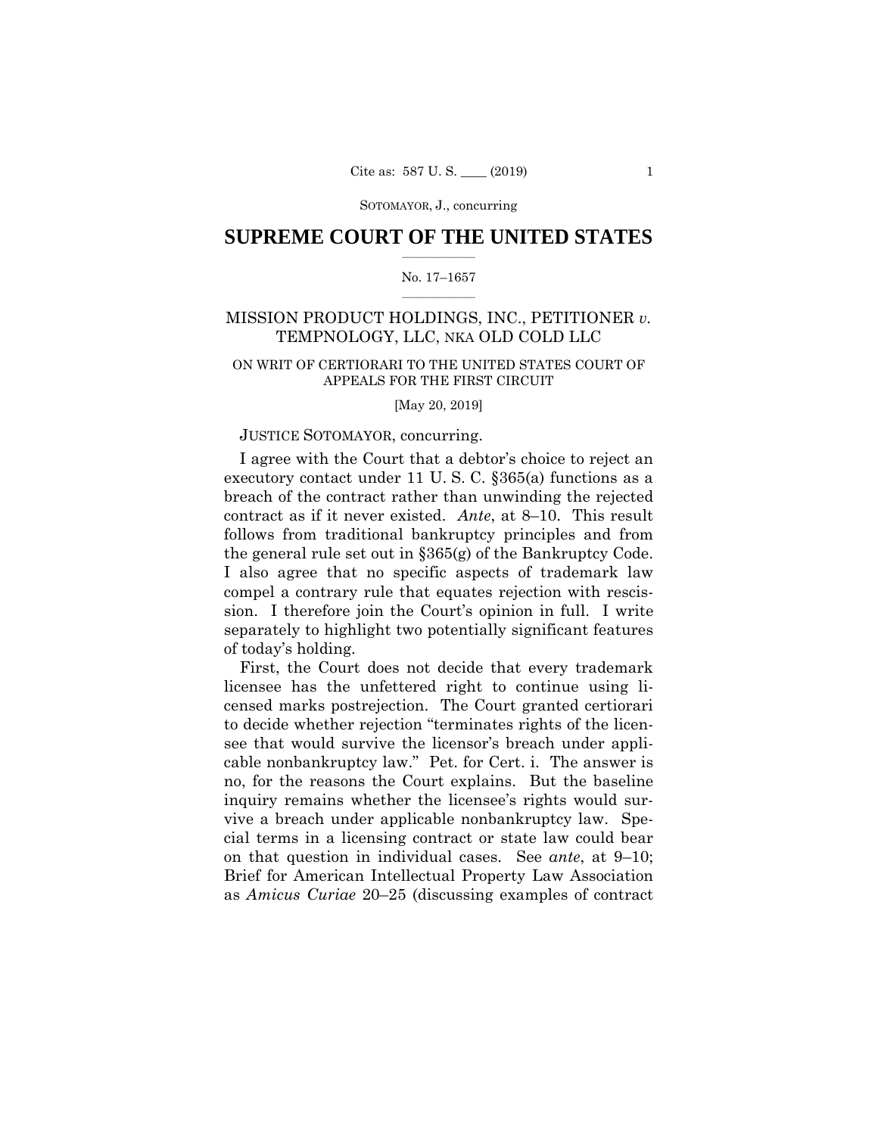SOTOMAYOR, J., concurring

### $\frac{1}{2}$  , where  $\frac{1}{2}$ **SUPREME COURT OF THE UNITED STATES**

#### $\frac{1}{2}$  ,  $\frac{1}{2}$  ,  $\frac{1}{2}$  ,  $\frac{1}{2}$  ,  $\frac{1}{2}$  ,  $\frac{1}{2}$ No. 17–1657

## MISSION PRODUCT HOLDINGS, INC., PETITIONER *v.*  TEMPNOLOGY, LLC, NKA OLD COLD LLC

## ON WRIT OF CERTIORARI TO THE UNITED STATES COURT OF APPEALS FOR THE FIRST CIRCUIT

[May 20, 2019]

### JUSTICE SOTOMAYOR, concurring.

 the general rule set out in §365(g) of the Bankruptcy Code. I agree with the Court that a debtor's choice to reject an executory contact under 11 U. S. C. §365(a) functions as a breach of the contract rather than unwinding the rejected contract as if it never existed. *Ante*, at 8–10. This result follows from traditional bankruptcy principles and from I also agree that no specific aspects of trademark law compel a contrary rule that equates rejection with rescission. I therefore join the Court's opinion in full. I write separately to highlight two potentially significant features of today's holding.

First, the Court does not decide that every trademark licensee has the unfettered right to continue using licensed marks postrejection. The Court granted certiorari to decide whether rejection "terminates rights of the licensee that would survive the licensor's breach under applicable nonbankruptcy law." Pet. for Cert. i. The answer is no, for the reasons the Court explains. But the baseline inquiry remains whether the licensee's rights would survive a breach under applicable nonbankruptcy law. Special terms in a licensing contract or state law could bear on that question in individual cases. See *ante*, at 9–10; Brief for American Intellectual Property Law Association as *Amicus Curiae* 20–25 (discussing examples of contract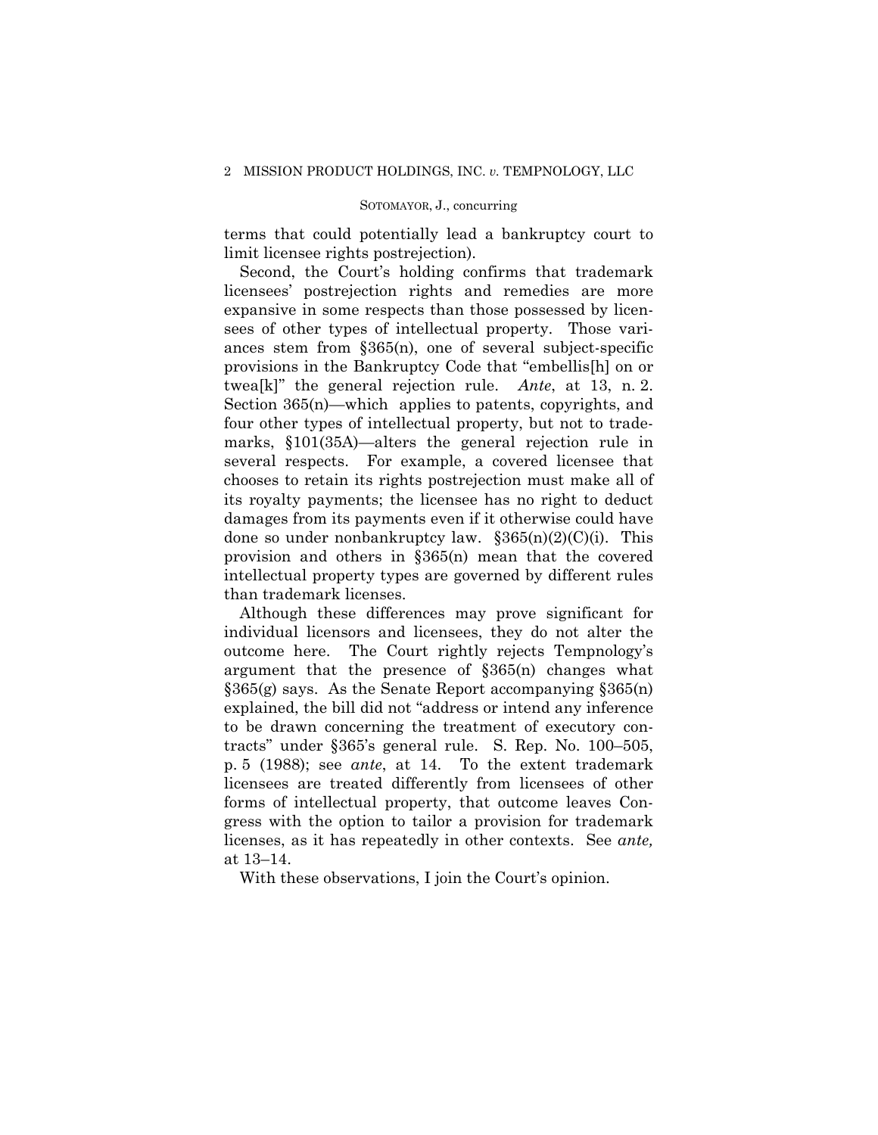#### SOTOMAYOR, J., concurring

terms that could potentially lead a bankruptcy court to limit licensee rights postrejection).

 twea[k]" the general rejection rule. *Ante*, at 13, n. 2. Section 365(n)—which applies to patents, copyrights, and Second, the Court's holding confirms that trademark licensees' postrejection rights and remedies are more expansive in some respects than those possessed by licensees of other types of intellectual property. Those variances stem from §365(n), one of several subject-specific provisions in the Bankruptcy Code that "embellis[h] on or four other types of intellectual property, but not to trademarks, §101(35A)—alters the general rejection rule in several respects. For example, a covered licensee that chooses to retain its rights postrejection must make all of its royalty payments; the licensee has no right to deduct damages from its payments even if it otherwise could have done so under nonbankruptcy law.  $\S 365(n)(2)(C)(i)$ . This provision and others in §365(n) mean that the covered intellectual property types are governed by different rules than trademark licenses.

Although these differences may prove significant for individual licensors and licensees, they do not alter the outcome here. The Court rightly rejects Tempnology's argument that the presence of §365(n) changes what  $§365(g)$  says. As the Senate Report accompanying  $§365(n)$ explained, the bill did not "address or intend any inference to be drawn concerning the treatment of executory contracts" under §365's general rule. S. Rep. No. 100–505, p. 5 (1988); see *ante*, at 14. To the extent trademark licensees are treated differently from licensees of other forms of intellectual property, that outcome leaves Congress with the option to tailor a provision for trademark licenses, as it has repeatedly in other contexts. See *ante,*  at 13–14.

With these observations, I join the Court's opinion.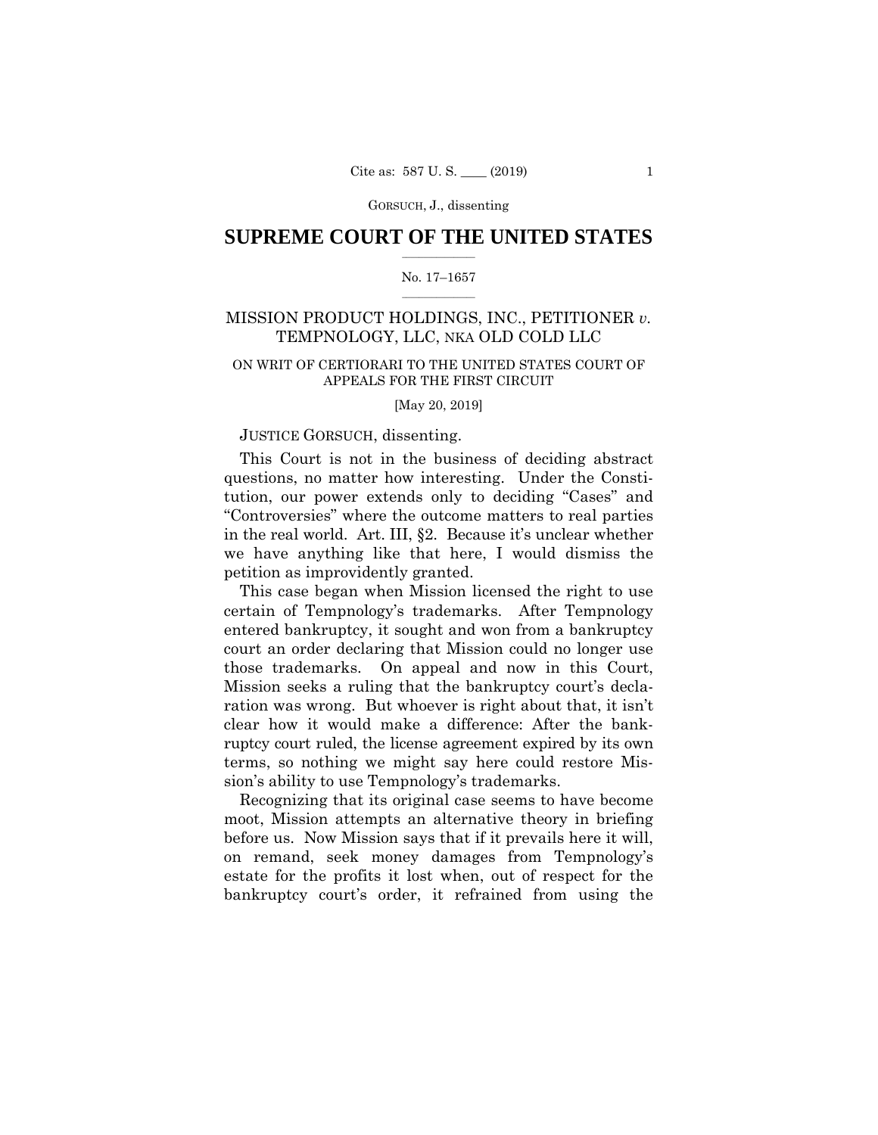GORSUCH, J., dissenting

### $\frac{1}{2}$  , where  $\frac{1}{2}$ **SUPREME COURT OF THE UNITED STATES**

#### $\frac{1}{2}$  ,  $\frac{1}{2}$  ,  $\frac{1}{2}$  ,  $\frac{1}{2}$  ,  $\frac{1}{2}$  ,  $\frac{1}{2}$ No. 17–1657

## MISSION PRODUCT HOLDINGS, INC., PETITIONER *v.*  TEMPNOLOGY, LLC, NKA OLD COLD LLC

## ON WRIT OF CERTIORARI TO THE UNITED STATES COURT OF APPEALS FOR THE FIRST CIRCUIT

[May 20, 2019]

### JUSTICE GORSUCH, dissenting.

This Court is not in the business of deciding abstract questions, no matter how interesting. Under the Constitution, our power extends only to deciding "Cases" and "Controversies" where the outcome matters to real parties in the real world. Art. III, §2. Because it's unclear whether we have anything like that here, I would dismiss the petition as improvidently granted.

This case began when Mission licensed the right to use certain of Tempnology's trademarks. After Tempnology entered bankruptcy, it sought and won from a bankruptcy court an order declaring that Mission could no longer use those trademarks. On appeal and now in this Court, Mission seeks a ruling that the bankruptcy court's declaration was wrong. But whoever is right about that, it isn't clear how it would make a difference: After the bankruptcy court ruled, the license agreement expired by its own terms, so nothing we might say here could restore Mission's ability to use Tempnology's trademarks.

Recognizing that its original case seems to have become moot, Mission attempts an alternative theory in briefing before us. Now Mission says that if it prevails here it will, on remand, seek money damages from Tempnology's estate for the profits it lost when, out of respect for the bankruptcy court's order, it refrained from using the